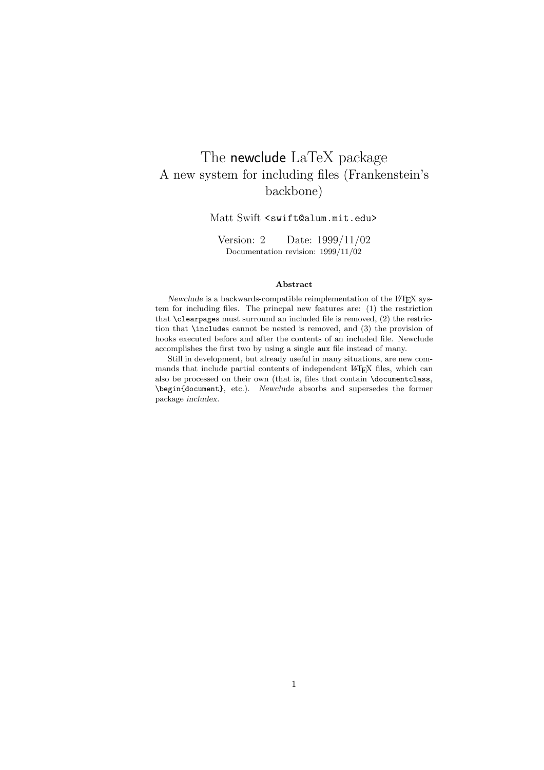# The newclude LaTeX package A new system for including files (Frankenstein's backbone)

#### Matt Swift <swift@alum.mit.edu>

Version: 2 Date: 1999/11/02 Documentation revision: 1999/11/02

#### **Abstract**

*Newclude* is a backwards-compatible reimplementation of the L<sup>AT</sup>EX system for including files. The princpal new features are: (1) the restriction that \clearpages must surround an included file is removed, (2) the restriction that \includes cannot be nested is removed, and (3) the provision of hooks executed before and after the contents of an included file. Newclude accomplishes the first two by using a single aux file instead of many.

Still in development, but already useful in many situations, are new commands that include partial contents of independent LAT<sub>E</sub>X files, which can also be processed on their own (that is, files that contain \documentclass, \begin{document}, etc.). *Newclude* absorbs and supersedes the former package *includex*.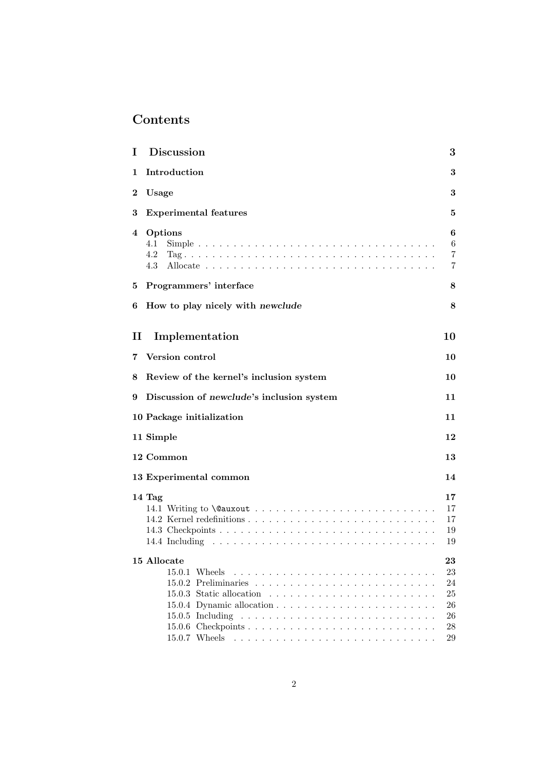# **Contents**

| T        | <b>Discussion</b>                         | 3                                                     |
|----------|-------------------------------------------|-------------------------------------------------------|
| 1        | Introduction                              | 3                                                     |
| $\bf{2}$ | Usage                                     | 3                                                     |
| 3        | <b>Experimental features</b>              | 5                                                     |
| 4        | Options<br>4.1<br>4.2<br>4.3              | 6<br>6<br>7<br>7                                      |
| 5        | Programmers' interface                    | 8                                                     |
| 6        | How to play nicely with newclude          | 8                                                     |
| $\rm II$ | Implementation                            | 10                                                    |
|          | 7 Version control                         | 10                                                    |
| 8        | Review of the kernel's inclusion system   | 10                                                    |
| 9        | Discussion of newclude's inclusion system | 11                                                    |
|          | 10 Package initialization                 | 11                                                    |
|          |                                           |                                                       |
|          | 11 Simple                                 | 12                                                    |
|          | 12 Common                                 | 13                                                    |
|          | 13 Experimental common                    | 14                                                    |
|          | 14 Tag                                    | 17<br>17<br>17<br>19<br>19                            |
|          | 15 Allocate<br>$15.0.1$ Wheels            | $\boldsymbol{23}$<br>23<br>24<br>25<br>26<br>26<br>28 |
|          |                                           | 29                                                    |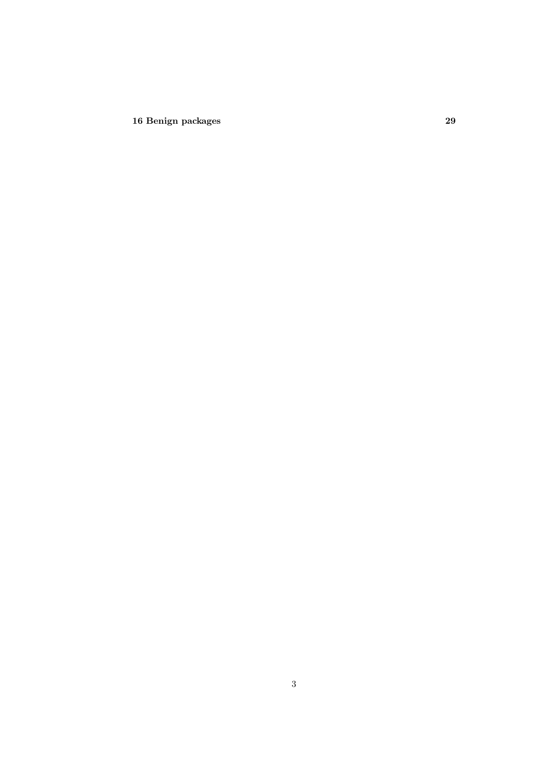**16 Benign packages 29**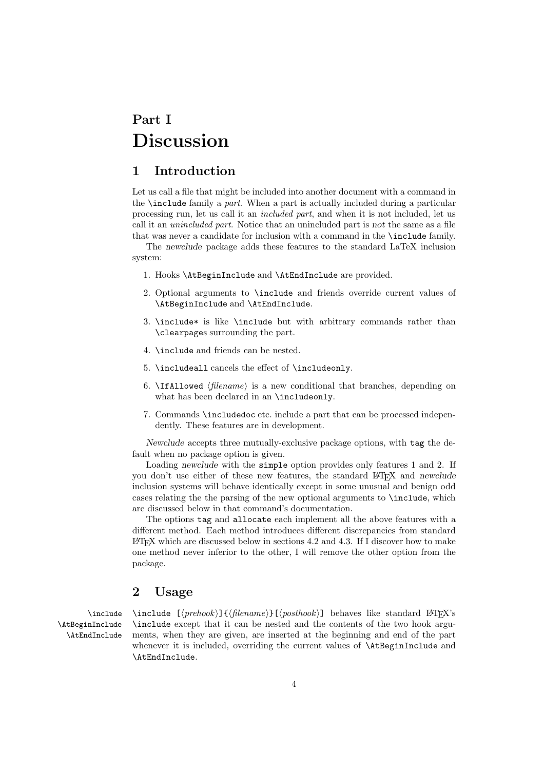# **Part I Discussion**

## **1 Introduction**

Let us call a file that might be included into another document with a command in the \include family a *part*. When a part is actually included during a particular processing run, let us call it an *included part*, and when it is not included, let us call it an *unincluded part*. Notice that an unincluded part is *not* the same as a file that was never a candidate for inclusion with a command in the \include family.

The *newclude* package adds these features to the standard LaTeX inclusion system:

- 1. Hooks \AtBeginInclude and \AtEndInclude are provided.
- 2. Optional arguments to \include and friends override current values of \AtBeginInclude and \AtEndInclude.
- 3. \include\* is like \include but with arbitrary commands rather than \clearpages surrounding the part.
- 4. \include and friends can be nested.
- 5. \includeall cancels the effect of \includeonly.
- 6.  $\Pi$ **Allowed**  $\langle$ *filename* $\rangle$  is a new conditional that branches, depending on what has been declared in an \includeonly.
- 7. Commands \includedoc etc. include a part that can be processed independently. These features are in development.

*Newclude* accepts three mutually-exclusive package options, with tag the default when no package option is given.

Loading *newclude* with the simple option provides only features 1 and 2. If you don't use either of these new features, the standard LATEX and *newclude* inclusion systems will behave identically except in some unusual and benign odd cases relating the the parsing of the new optional arguments to \include, which are discussed below in that command's documentation.

The options tag and allocate each implement all the above features with a different method. Each method introduces different discrepancies from standard  $E\text{Tr}X$  which are discussed below in sections 4.2 and 4.3. If I discover how to make one method never inferior to the other, I will remove the other option from the package.

## **2 Usage**

\AtBeginInclude \AtEndInclude

\include \include  $[\langle prehook \rangle] {\langle filename \rangle} [\langle posthook \rangle]$  behaves like standard LATEX's \include except that it can be nested and the contents of the two hook arguments, when they are given, are inserted at the beginning and end of the part whenever it is included, overriding the current values of **\AtBeginInclude** and \AtEndInclude.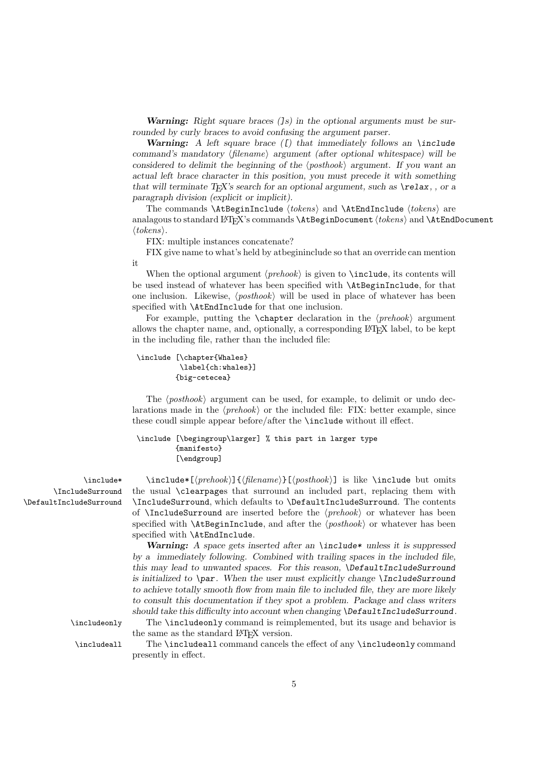*Warning: Right square braces (]s) in the optional arguments must be surrounded by curly braces to avoid confusing the argument parser.*

*Warning: A left square brace ([) that immediately follows an \include*  $command's$  mandatory  $\langle$  *filename* $\rangle$  argument (after optional whitespace) will be *considered to delimit the beginning of the*  $\langle posthook \rangle$  *argument. If you want an actual left brace character in this position, you must precede it with something that will terminate TEX's search for an optional argument, such as \relax, , or a paragraph division (explicit or implicit).*

The commands  $\Lambda \to \{\nto kens\}$  and  $\Lambda \to \to kens$  are analagous to standard L<sup>A</sup>T<sub>E</sub>X's commands **\AtBeginDocument**  $\langle tokens \rangle$  and **\AtEndDocument** -*tokens*.

FIX: multiple instances concatenate?

FIX give name to what's held by atbegininclude so that an override can mention it

When the optional argument  $\langle prehook \rangle$  is given to  $\lceil$  include, its contents will be used instead of whatever has been specified with \AtBeginInclude, for that one inclusion. Likewise,  $\langle posthook \rangle$  will be used in place of whatever has been specified with \AtEndInclude for that one inclusion.

For example, putting the **\chapter** declaration in the  $\langle prehook\rangle$  argument allows the chapter name, and, optionally, a corresponding LAT<sub>EX</sub> label, to be kept in the including file, rather than the included file:

```
\include [\chapter{Whales}
          \label{ch:whales}]
         {big-cetecea}
```
The  $\langle posthook \rangle$  argument can be used, for example, to delimit or undo declarations made in the  $\langle prehook \rangle$  or the included file: FIX: better example, since these coudl simple appear before/after the \include without ill effect.

#### \include [\begingroup\larger] % this part in larger type {manifesto} [\endgroup]

\IncludeSurround \DefaultIncludeSurround

\include\* \include\*[\prehook\]{\filename\}[\posthook\] is like \include but omits the usual \clearpages that surround an included part, replacing them with \IncludeSurround, which defaults to \DefaultIncludeSurround. The contents of **\IncludeSurround** are inserted before the  $\langle prehook \rangle$  or whatever has been  $specified$  with  $\lambda tBeginIndude$ , and after the  $\langle posthook \rangle$  or whatever has been specified with \AtEndInclude.

> *Warning: A space gets inserted after an \include\* unless it is suppressed by a immediately following. Combined with trailing spaces in the included file, this may lead to unwanted spaces. For this reason, \DefaultIncludeSurround is initialized to \par. When the user must explicitly change \IncludeSurround to achieve totally smooth flow from main file to included file, they are more likely to consult this documentation if they spot a problem. Package and class writers should take this difficulty into account when changing \DefaultIncludeSurround.*

\includeonly The \includeonly command is reimplemented, but its usage and behavior is the same as the standard LAT<sub>EX</sub> version.

\includeall The \includeall command cancels the effect of any \includeonly command presently in effect.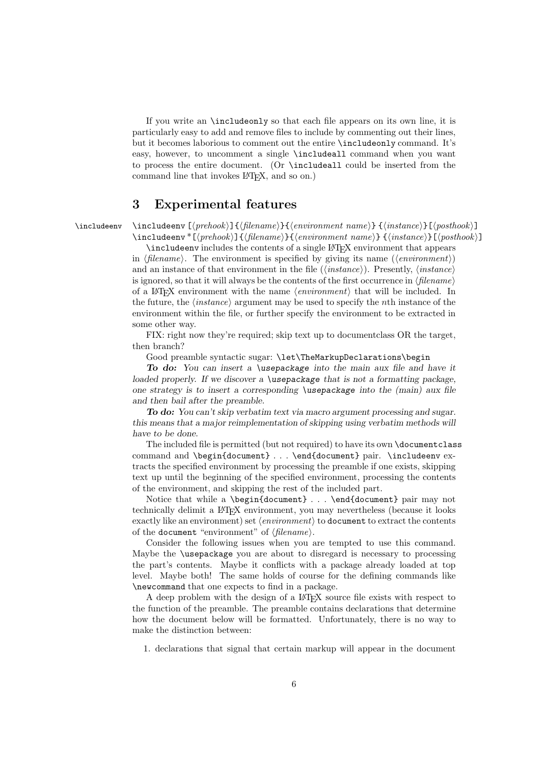If you write an \includeonly so that each file appears on its own line, it is particularly easy to add and remove files to include by commenting out their lines, but it becomes laborious to comment out the entire \includeonly command. It's easy, however, to uncomment a single \includeall command when you want to process the entire document. (Or \includeall could be inserted from the command line that invokes  $L^2F_X$ , and so on.)

## **3 Experimental features**

\includeenv \includeenv  $[\langle prehook \rangle] {\langle \langle \text{in} \rangle} {\langle \text{in} \rangle} {\langle \text{in} \rangle}$  [\\instance\\includeenv \includeenv \includeenv \includeenv \includeenv \includeenv \includeenv \includeenv \includeenv \includeenv \includeenv \includeenv

\includeenv\*[\prehook\]{\filename\}{\environment name\} {\instance\}[\posthook\] \includeenv includes the contents of a single LATEX environment that appears

in  $\langle$ *filename* $\rangle$ . The environment is specified by giving its name  $(\langle environment \rangle)$ and an instance of that environment in the file  $(\langle instance \rangle)$ . Presently,  $\langle instance \rangle$ is ignored, so that it will always be the contents of the first occurrence in  $\langle filename \rangle$ of a LAT<sub>E</sub>X environment with the name  $\langle environment \rangle$  that will be included. In the future, the  $\langle instance \rangle$  argument may be used to specify the *n*th instance of the environment within the file, or further specify the environment to be extracted in some other way.

FIX: right now they're required; skip text up to documentclass OR the target, then branch?

Good preamble syntactic sugar: \let\TheMarkupDeclarations\begin

*To do: You can insert a \usepackage into the main aux file and have it loaded properly. If we discover a \usepackage that is not a formatting package, one strategy is to insert a corresponding \usepackage into the (main) aux file and then bail after the preamble.*

*To do: You can't skip verbatim text via macro argument processing and sugar. this means that a major reimplementation of skipping using verbatim methods will have to be done.*

The included file is permitted (but not required) to have its own \documentclass command and \begin{document} . . . \end{document} pair. \includeenv extracts the specified environment by processing the preamble if one exists, skipping text up until the beginning of the specified environment, processing the contents of the environment, and skipping the rest of the included part.

Notice that while a \begin{document} ... \end{document} pair may not technically delimit a LATEX environment, you may nevertheless (because it looks exactly like an environment) set  $\langle environment \rangle$  to document to extract the contents of the **document** "environment" of  $\langle$ *filename* $\rangle$ .

Consider the following issues when you are tempted to use this command. Maybe the \usepackage you are about to disregard is necessary to processing the part's contents. Maybe it conflicts with a package already loaded at top level. Maybe both! The same holds of course for the defining commands like \newcommand that one expects to find in a package.

A deep problem with the design of a LATEX source file exists with respect to the function of the preamble. The preamble contains declarations that determine how the document below will be formatted. Unfortunately, there is no way to make the distinction between:

1. declarations that signal that certain markup will appear in the document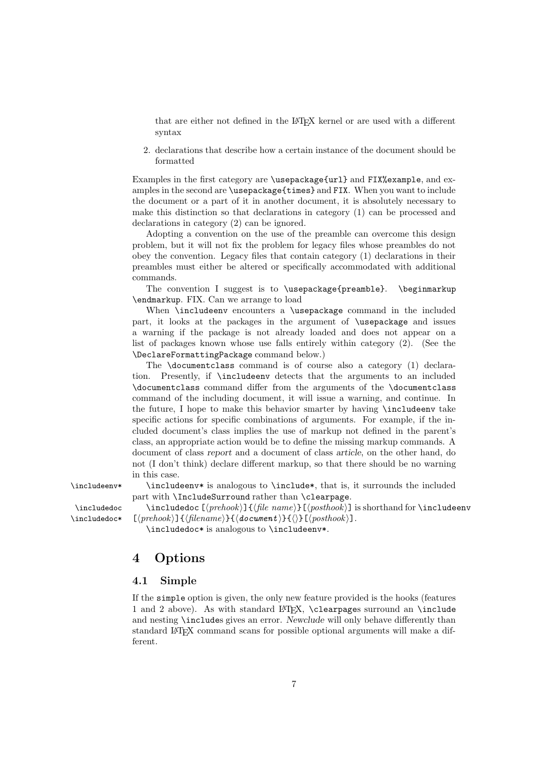that are either not defined in the LATEX kernel or are used with a different syntax

2. declarations that describe how a certain instance of the document should be formatted

Examples in the first category are \usepackage{url} and FIX%example, and examples in the second are \usepackage{times} and FIX. When you want to include the document or a part of it in another document, it is absolutely necessary to make this distinction so that declarations in category (1) can be processed and declarations in category (2) can be ignored.

Adopting a convention on the use of the preamble can overcome this design problem, but it will not fix the problem for legacy files whose preambles do not obey the convention. Legacy files that contain category (1) declarations in their preambles must either be altered or specifically accommodated with additional commands.

The convention I suggest is to \usepackage{preamble}. \beginmarkup \endmarkup. FIX. Can we arrange to load

When \includeenv encounters a \usepackage command in the included part, it looks at the packages in the argument of \usepackage and issues a warning if the package is not already loaded and does not appear on a list of packages known whose use falls entirely within category (2). (See the \DeclareFormattingPackage command below.)

The \documentclass command is of course also a category (1) declaration. Presently, if \includeenv detects that the arguments to an included \documentclass command differ from the arguments of the \documentclass command of the including document, it will issue a warning, and continue. In the future, I hope to make this behavior smarter by having \includeenv take specific actions for specific combinations of arguments. For example, if the included document's class implies the use of markup not defined in the parent's class, an appropriate action would be to define the missing markup commands. A document of class *report* and a document of class *article*, on the other hand, do not (I don't think) declare different markup, so that there should be no warning in this case.

\includeenv\* \includeenv\* is analogous to \include\*, that is, it surrounds the included part with \IncludeSurround rather than \clearpage.

 $\int$ includedoc $*$ 

\includedoc \includedoc  $[\langle prehook\rangle] {\langle file~name\rangle} [\langle posthook\rangle]$  is shorthand for \includeenv  $\{$   $\langle$   $\}$   $\}$   $\{$   $\langle$   $\rangle$   $\{$   $\langle$   $\rangle$   $\}$   $\{$   $\langle$   $\rangle$   $\}$   $\{$   $\langle$   $\rangle$   $\}$   $\{$   $\langle$   $\rangle$   $\}$   $\{$   $\langle$   $\rangle$   $\}$   $\{$   $\langle$   $\rangle$   $\}$   $\{$   $\langle$   $\rangle$   $\}$   $\{$   $\langle$   $\rangle$   $\}$   $\{$   $\langle$   $\rangle$   $\}$   $\{$ 

\includedoc\* is analogous to \includeenv\*.

## **4 Options**

#### **4.1 Simple**

If the simple option is given, the only new feature provided is the hooks (features 1 and 2 above). As with standard  $L^2$ F<sub>K</sub>, \clearpages surround an \include and nesting \includes gives an error. *Newclude* will only behave differently than standard LATEX command scans for possible optional arguments will make a different.

7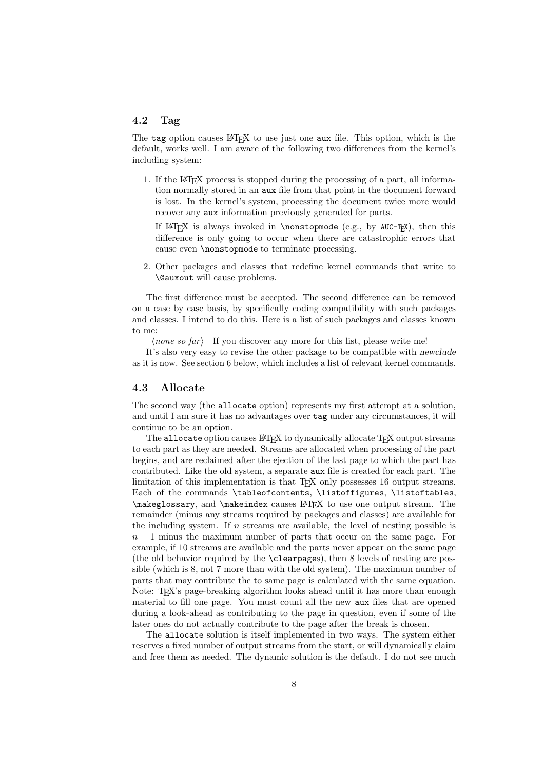## **4.2 Tag**

The tag option causes LAT<sub>EX</sub> to use just one aux file. This option, which is the default, works well. I am aware of the following two differences from the kernel's including system:

1. If the LATEX process is stopped during the processing of a part, all information normally stored in an aux file from that point in the document forward is lost. In the kernel's system, processing the document twice more would recover any aux information previously generated for parts.

If LATEX is always invoked in \nonstopmode (e.g., by AUC-TEX), then this difference is only going to occur when there are catastrophic errors that cause even \nonstopmode to terminate processing.

2. Other packages and classes that redefine kernel commands that write to \@auxout will cause problems.

The first difference must be accepted. The second difference can be removed on a case by case basis, by specifically coding compatibility with such packages and classes. I intend to do this. Here is a list of such packages and classes known to me:

 $\langle none\ so\ far\rangle$  If you discover any more for this list, please write me!

It's also very easy to revise the other package to be compatible with *newclude* as it is now. See section 6 below, which includes a list of relevant kernel commands.

#### **4.3 Allocate**

The second way (the allocate option) represents my first attempt at a solution, and until I am sure it has no advantages over tag under any circumstances, it will continue to be an option.

The allocate option causes LATEX to dynamically allocate TEX output streams to each part as they are needed. Streams are allocated when processing of the part begins, and are reclaimed after the ejection of the last page to which the part has contributed. Like the old system, a separate aux file is created for each part. The limitation of this implementation is that T<sub>E</sub>X only possesses 16 output streams. Each of the commands \tableofcontents, \listoffigures, \listoftables, \makeglossary, and \makeindex causes LATEX to use one output stream. The remainder (minus any streams required by packages and classes) are available for the including system. If  $n$  streams are available, the level of nesting possible is *n* − 1 minus the maximum number of parts that occur on the same page. For example, if 10 streams are available and the parts never appear on the same page (the old behavior required by the \clearpages), then 8 levels of nesting are possible (which is 8, not 7 more than with the old system). The maximum number of parts that may contribute the to same page is calculated with the same equation. Note: T<sub>EX</sub>'s page-breaking algorithm looks ahead until it has more than enough material to fill one page. You must count all the new aux files that are opened during a look-ahead as contributing to the page in question, even if some of the later ones do not actually contribute to the page after the break is chosen.

The allocate solution is itself implemented in two ways. The system either reserves a fixed number of output streams from the start, or will dynamically claim and free them as needed. The dynamic solution is the default. I do not see much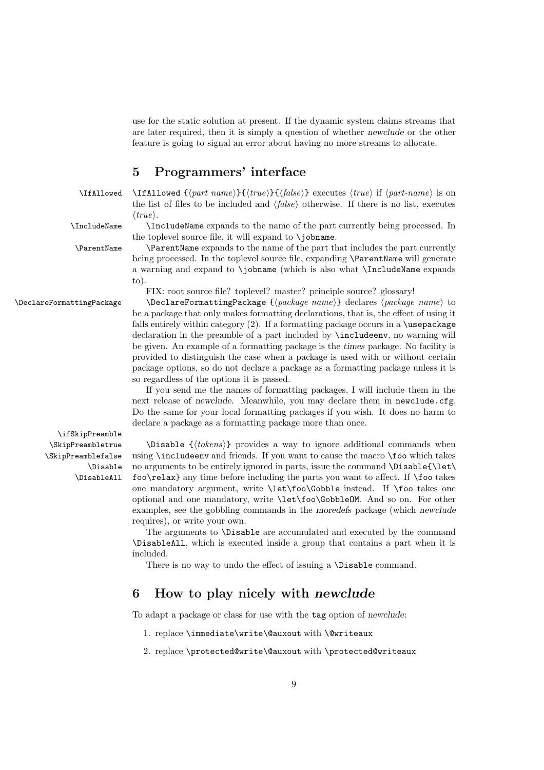use for the static solution at present. If the dynamic system claims streams that are later required, then it is simply a question of whether *newclude* or the other feature is going to signal an error about having no more streams to allocate.

## **5 Programmers' interface**

\IfAllowed \IfAllowed { $\{part\ name\}$ }{ $\{true\}$ }{ $\{false\}$ } executes  $\{true\}$  if  $\{part\ name\}$  is on the list of files to be included and  $\langle false \rangle$  otherwise. If there is no list, executes  $\langle true \rangle$ .

\IncludeName \IncludeName expands to the name of the part currently being processed. In

the toplevel source file, it will expand to \jobname. \ParentName \ParentName expands to the name of the part that includes the part currently being processed. In the toplevel source file, expanding **\ParentName** will generate

a warning and expand to \jobname (which is also what \IncludeName expands to).

FIX: root source file? toplevel? master? principle source? glossary!

\DeclareFormattingPackage \DeclareFormattingPackage { $\langle package \ name \rangle$ } declares  $\langle package \ name \rangle$  to be a package that only makes formatting declarations, that is, the effect of using it falls entirely within category  $(2)$ . If a formatting package occurs in a \usepackage declaration in the preamble of a part included by \includeenv, no warning will be given. An example of a formatting package is the *times* package. No facility is provided to distinguish the case when a package is used with or without certain package options, so do not declare a package as a formatting package unless it is so regardless of the options it is passed.

> If you send me the names of formatting packages, I will include them in the next release of *newclude*. Meanwhile, you may declare them in **newclude**.cfg. Do the same for your local formatting packages if you wish. It does no harm to declare a package as a formatting package more than once.

\ifSkipPreamble \SkipPreambletrue \SkipPreamblefalse \Disable \DisableAll

 $\Delta$   ${\langle tokens \rangle}$  provides a way to ignore additional commands when using \includeenv and friends. If you want to cause the macro \foo which takes no arguments to be entirely ignored in parts, issue the command \Disable{\let\ foo\relax} any time before including the parts you want to affect. If \foo takes one mandatory argument, write \let\foo\Gobble instead. If \foo takes one optional and one mandatory, write \let\foo\GobbleOM. And so on. For other examples, see the gobbling commands in the *moredefs* package (which *newclude* requires), or write your own.

The arguments to \Disable are accumulated and executed by the command \DisableAll, which is executed inside a group that contains a part when it is included.

There is no way to undo the effect of issuing a **\Disable** command.

## **6 How to play nicely with** *newclude*

To adapt a package or class for use with the tag option of *newclude*:

- 1. replace \immediate\write\@auxout with \@writeaux
- 2. replace \protected@write\@auxout with \protected@writeaux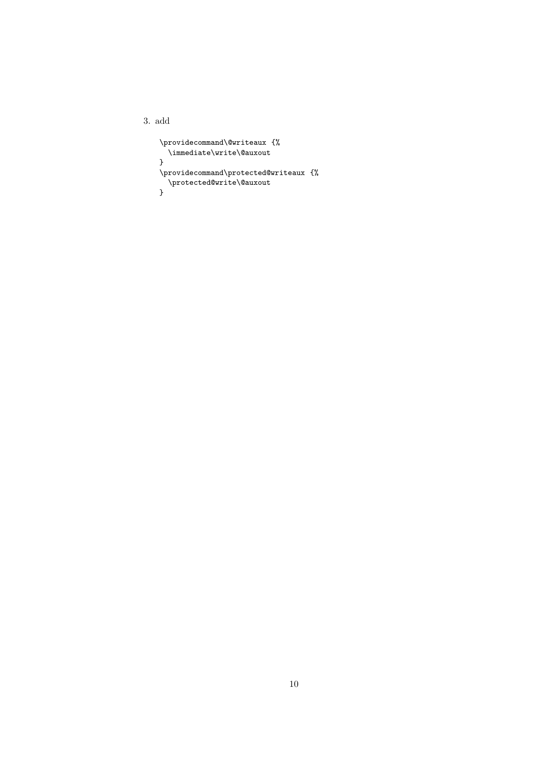3. add

```
\providecommand\@writeaux {%
 \immediate\write\@auxout
}
\providecommand\protected@writeaux {%
  \protected@write\@auxout
}
```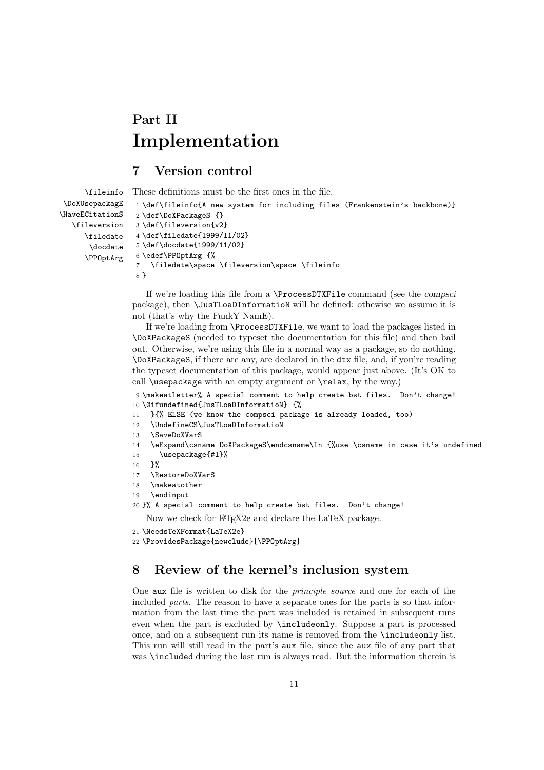# **Part II Implementation**

## **7 Version control**

```
\fileinfo
 \DoXUsepackagE
\HaveECitationS
   \fileversion
      \filedate
       \docdate
      \PPOptArg
                 These definitions must be the first ones in the file.
                  1 \def\fileinfo{A new system for including files (Frankenstein's backbone)}
                  2 \def\DoXPackageS {}
                  3 \def\fileversion{v2}
                  4 \def\filedate{1999/11/02}
                  5 \def\docdate{1999/11/02}
                  6 \edef\PPOptArg {%
                  7 \filedate\space \fileversion\space \fileinfo
                  8 }
```
If we're loading this file from a \ProcessDTXFile command (see the *compsci* package), then \JusTLoaDInformatioN will be defined; othewise we assume it is not (that's why the FunkY NamE).

If we're loading from \ProcessDTXFile, we want to load the packages listed in \DoXPackageS (needed to typeset the documentation for this file) and then bail out. Otherwise, we're using this file in a normal way as a package, so do nothing. \DoXPackageS, if there are any, are declared in the dtx file, and, if you're reading the typeset documentation of this package, would appear just above. (It's OK to call \usepackage with an empty argument or \relax, by the way.)

9 \makeatletter% A special comment to help create bst files. Don't change! 10 \@ifundefined{JusTLoaDInformatioN} {%

- 11 }{% ELSE (we know the compsci package is already loaded, too)
- 12 \UndefineCS\JusTLoaDInformatioN
- 13 \SaveDoXVarS
- 14 \eExpand\csname DoXPackageS\endcsname\In {%use \csname in case it's undefined
- 15 \usepackage{#1}%
- 16 }%
- 17 \RestoreDoXVarS
- 18 \makeatother
- 19 \endinput

```
20 }% A special comment to help create bst files. Don't change!
```
Now we check for LATEX2e and declare the LaTeX package.

```
21 \NeedsTeXFormat{LaTeX2e}
```

```
22 \ProvidesPackage{newclude}[\PPOptArg]
```
## **8 Review of the kernel's inclusion system**

One aux file is written to disk for the *principle source* and one for each of the included *parts*. The reason to have a separate ones for the parts is so that information from the last time the part was included is retained in subsequent runs even when the part is excluded by \includeonly. Suppose a part is processed once, and on a subsequent run its name is removed from the \includeonly list. This run will still read in the part's aux file, since the aux file of any part that was \included during the last run is always read. But the information therein is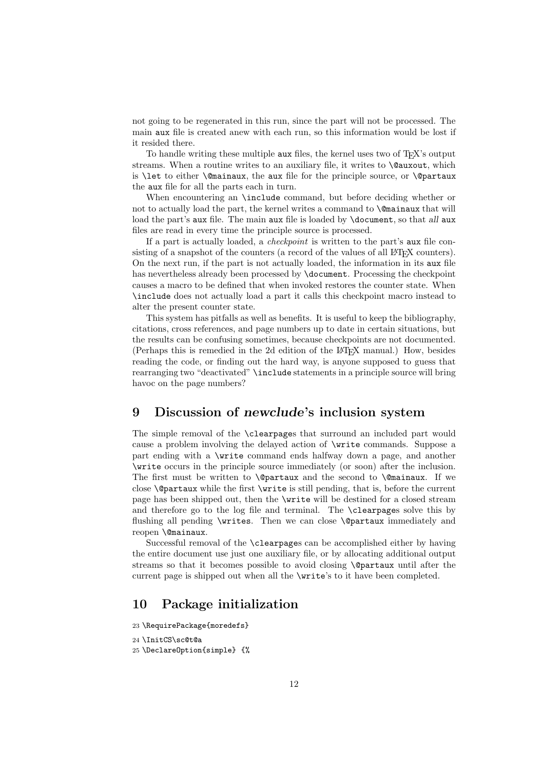not going to be regenerated in this run, since the part will not be processed. The main aux file is created anew with each run, so this information would be lost if it resided there.

To handle writing these multiple aux files, the kernel uses two of TEX's output streams. When a routine writes to an auxiliary file, it writes to \@auxout, which is \let to either \@mainaux, the aux file for the principle source, or \@partaux the aux file for all the parts each in turn.

When encountering an **\include** command, but before deciding whether or not to actually load the part, the kernel writes a command to \@mainaux that will load the part's aux file. The main aux file is loaded by \document, so that *all* aux files are read in every time the principle source is processed.

If a part is actually loaded, a *checkpoint* is written to the part's aux file consisting of a snapshot of the counters (a record of the values of all L<sup>AT</sup>EX counters). On the next run, if the part is not actually loaded, the information in its aux file has nevertheless already been processed by \document. Processing the checkpoint causes a macro to be defined that when invoked restores the counter state. When \include does not actually load a part it calls this checkpoint macro instead to alter the present counter state.

This system has pitfalls as well as benefits. It is useful to keep the bibliography, citations, cross references, and page numbers up to date in certain situations, but the results can be confusing sometimes, because checkpoints are not documented. (Perhaps this is remedied in the 2d edition of the LATEX manual.) How, besides reading the code, or finding out the hard way, is anyone supposed to guess that rearranging two "deactivated" \include statements in a principle source will bring havoc on the page numbers?

## **9 Discussion of** *newclude***'s inclusion system**

The simple removal of the \clearpages that surround an included part would cause a problem involving the delayed action of \write commands. Suppose a part ending with a \write command ends halfway down a page, and another \write occurs in the principle source immediately (or soon) after the inclusion. The first must be written to  $\qquad$   $\qquad$  and the second to  $\qquad$   $\qquad$  If we close \@partaux while the first \write is still pending, that is, before the current page has been shipped out, then the \write will be destined for a closed stream and therefore go to the log file and terminal. The \clearpages solve this by flushing all pending \writes. Then we can close \@partaux immediately and reopen \@mainaux.

Successful removal of the \clearpages can be accomplished either by having the entire document use just one auxiliary file, or by allocating additional output streams so that it becomes possible to avoid closing \@partaux until after the current page is shipped out when all the \write's to it have been completed.

## **10 Package initialization**

23 \RequirePackage{moredefs}

```
24 \InitCS\sc@t@a
```

```
25 \DeclareOption{simple} {%
```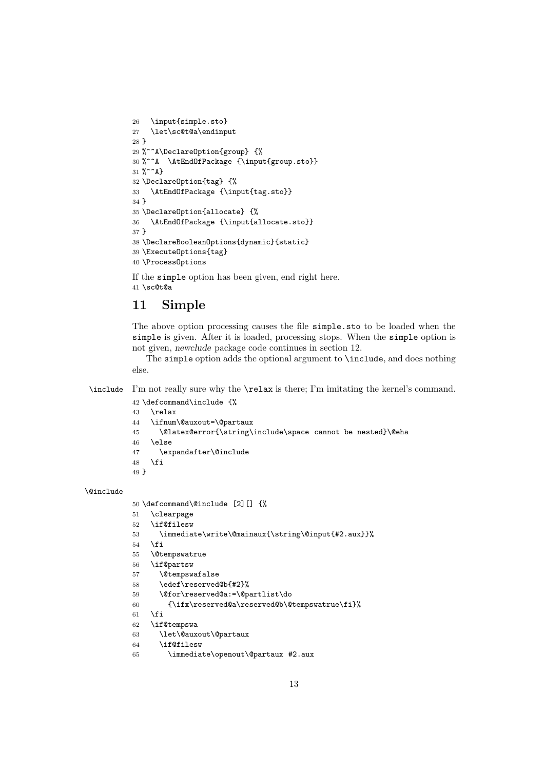```
26 \input{simple.sto}
27 \let\sc@t@a\endinput
28 }
29 %^^A\DeclareOption{group} {%
30 %^^A \AtEndOfPackage {\input{group.sto}}
31 \%<sup>2</sup>A}
32 \DeclareOption{tag} {%
33 \AtEndOfPackage {\input{tag.sto}}
34 }
35 \DeclareOption{allocate} {%
36 \AtEndOfPackage {\input{allocate.sto}}
37 }
38 \DeclareBooleanOptions{dynamic}{static}
39 \ExecuteOptions{tag}
40 \ProcessOptions
```
If the simple option has been given, end right here. \sc@t@a

## **11 Simple**

The above option processing causes the file simple.sto to be loaded when the simple is given. After it is loaded, processing stops. When the simple option is not given, *newclude* package code continues in section 12.

The simple option adds the optional argument to \include, and does nothing else.

\include I'm not really sure why the \relax is there; I'm imitating the kernel's command.

```
42 \defcommand\include {%
43 \relax
44 \ifnum\@auxout=\@partaux
45 \@latex@error{\string\include\space cannot be nested}\@eha
46 \else
47 \expandafter\@include
48 \fi
49 }
```
\@include

```
50 \defcommand\@include [2][] {%
51 \clearpage
52 \if@filesw
53 \immediate\write\@mainaux{\string\@input{#2.aux}}%
54 \overline{54}55 \@tempswatrue
56 \if@partsw
57 \@tempswafalse
58 \edef\reserved@b{#2}%
59 \@for\reserved@a:=\@partlist\do
60 {\ifx\reserved@a\reserved@b\@tempswatrue\fi}%
61 \setminusfi
62 \if@tempswa
63 \let\@auxout\@partaux
64 \if@filesw
```
\immediate\openout\@partaux #2.aux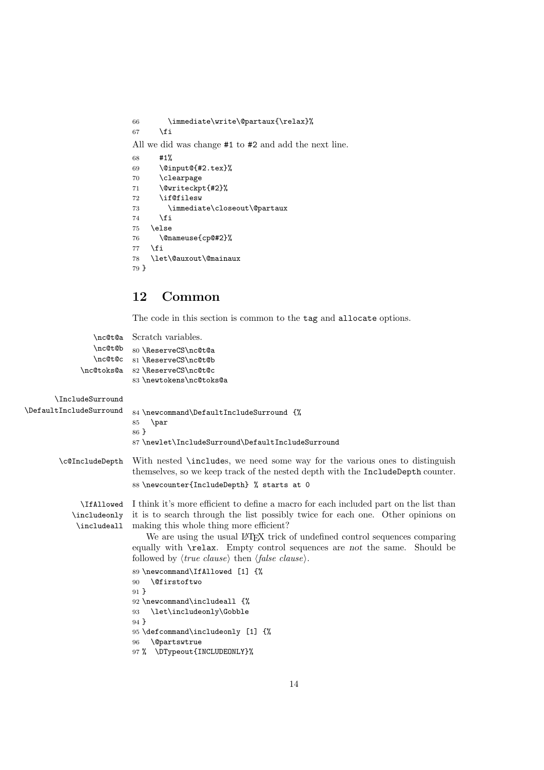```
66 \immediate\write\@partaux{\relax}%
67 \fi
All we did was change #1 to #2 and add the next line.
68 #1%
69 \@input@{#2.tex}%
70 \clearpage
71 \@writeckpt{#2}%
72 \if@filesw
73 \immediate\closeout\@partaux
74 \fi
75 \else
76 \@nameuse{cp@#2}%
77 \fi
78 \let\@auxout\@mainaux
79 }
```
## **12 Common**

The code in this section is common to the tag and allocate options.

```
\nc@t@a
Scratch variables.
                 \nc@t@b
                 \nc@t@c
81 \ReserveCS\nc@t@b
              \nc@toks@a
82 \ReserveCS\nc@t@c
                          80 \ReserveCS\nc@t@a
                          83 \newtokens\nc@toks@a
       \IncludeSurround
\DefaultIncludeSurround 84 \newcommand\DefaultIncludeSurround {%
                          85 \par
                          86 }
                          87 \newlet\IncludeSurround\DefaultIncludeSurround
        \c@IncludeDepth With nested \includes, we need some way for the various ones to distinguish
                          themselves, so we keep track of the nested depth with the IncludeDepth counter.
                          88 \newcounter{IncludeDepth} % starts at 0
              \IfAllowed
I think it's more efficient to define a macro for each included part on the list than
            \includeonly
it is to search through the list possibly twice for each one. Other opinions on
             \includeall
making this whole thing more efficient?
                              We are using the usual LATEX trick of undefined control sequences comparing
                          equally with \relax. Empty control sequences are not the same. Should be
                           followed by \langle true \; clause \rangle then \langle false \; clause \rangle.
                          89 \newcommand\IfAllowed [1] {%
                          90 \@firstoftwo
                          91 }
                          92 \newcommand\includeall {%
                          93 \let\includeonly\Gobble
                          94 }
                          95 \defcommand\includeonly [1] {%
                          96 \@partswtrue
                          97 % \DTypeout{INCLUDEONLY}%
```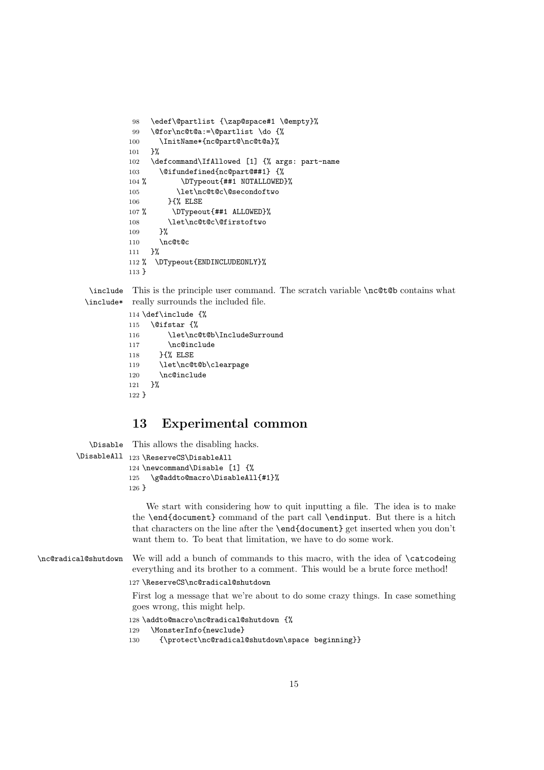```
98 \edef\@partlist {\zap@space#1 \@empty}%
99 \@for\nc@t@a:=\@partlist \do {%
100 \InitName*{nc@part@\nc@t@a}%
101 }%
102 \defcommand\IfAllowed [1] {% args: part-name
103 \@ifundefined{nc@part@##1} {%
104 % \DTypeout{##1 NOTALLOWED}%
105 \let\nc@t@c\@secondoftwo
106 }{% ELSE
107 % \DTypeout{##1 ALLOWED}%
108 \let\nc@t@c\@firstoftwo
109 }%
110 \nc@t@c
111 \frac{1}{6}112 % \DTypeout{ENDINCLUDEONLY}%
113 }
```
\include This is the principle user command. The scratch variable \nc@t@b contains what \include\* really surrounds the included file.

```
114 \def\include {%
115 \@ifstar {%
116 \let\nc@t@b\IncludeSurround
117 \nc@include
118 }{% ELSE
119 \let\nc@t@b\clearpage
120 \nc@include
121 }%
122 }
```
## **13 Experimental common**

```
\Disable
This allows the disabling hacks.
         \DisableAll
123 \ReserveCS\DisableAll
                      124 \newcommand\Disable [1] {%
                      125 \g@addto@macro\DisableAll{#1}%
                      126 }
                          We start with considering how to quit inputting a file. The idea is to make
                      the \end{document} command of the part call \endinput. But there is a hitch
                      that characters on the line after the \end{document} get inserted when you don't
                      want them to. To beat that limitation, we have to do some work.
\nc@radical@shutdown We will add a bunch of commands to this macro, with the idea of \catcodeing
                      everything and its brother to a comment. This would be a brute force method!
                      127 \ReserveCS\nc@radical@shutdown
                      First log a message that we're about to do some crazy things. In case something
                      goes wrong, this might help.
                      128 \addto@macro\nc@radical@shutdown {%
                     129 \MonsterInfo{newclude}
                     130 {\protect\nc@radical@shutdown\space beginning}}
```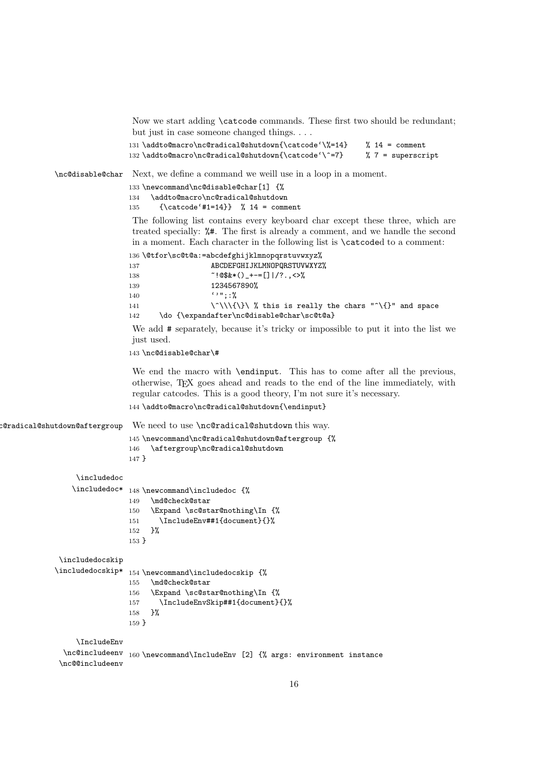Now we start adding \catcode commands. These first two should be redundant; but just in case someone changed things. . . .

```
131 \addto@macro\nc@radical@shutdown{\catcode'\%=14} % 14 = comment
132 \addto@macro\nc@radical@shutdown{\catcode'\^=7} % 7 = superscript
```
\nc@disable@char Next, we define a command we weill use in a loop in a moment.

133 \newcommand\nc@disable@char[1] {% 134 \addto@macro\nc@radical@shutdown 135 {\catcode'#1=14}} % 14 = comment

The following list contains every keyboard char except these three, which are treated specially: %#. The first is already a comment, and we handle the second in a moment. Each character in the following list is \catcoded to a comment:

 \@tfor\sc@t@a:=abcdefghijklmnopqrstuvwxyz% ABCDEFGHIJKLMNOPQRSTUVWXYZ%  $^{\sim}$ !@\$&\*()\_+-=[]|/?.,<>% 1234567890%

140 ''";:% 141  $\{\{\}\}\$  , this is really the chars " $\{\}$ " and space 142 \do {\expandafter\nc@disable@char\sc@t@a}

We add  $\#$  separately, because it's tricky or impossible to put it into the list we just used.

143 \nc@disable@char\#

We end the macro with \endinput. This has to come after all the previous, otherwise, TEX goes ahead and reads to the end of the line immediately, with regular catcodes. This is a good theory, I'm not sure it's necessary.

144 \addto@macro\nc@radical@shutdown{\endinput}

```
c@radical@shutdown@aftergroup We need to use \nc@radical@shutdown this way.
```

```
145 \newcommand\nc@radical@shutdown@aftergroup {%
146 \aftergroup\nc@radical@shutdown
147 }
```
\includedoc

```
\includedoc* 148 \newcommand\includedoc {%
                 149 \md@check@star
                 150 \Expand \sc@star@nothing\In {%
                 151 \IncludeEnv##1{document}{}%
                 152 }%
                 153 }
\includedocskip
\includedocskip* 154 \neqcommand\includedocskip {%
                 155 \md@check@star
                 156 \Expand \sc@star@nothing\In {%
                 157 \IncludeEnvSkip##1{document}{}%
                 158 }%
                 159 }
    \IncludeEnv
```
\nc@includeenv 160 \newcommand\IncludeEnv [2] {% args: environment instance \nc@@includeenv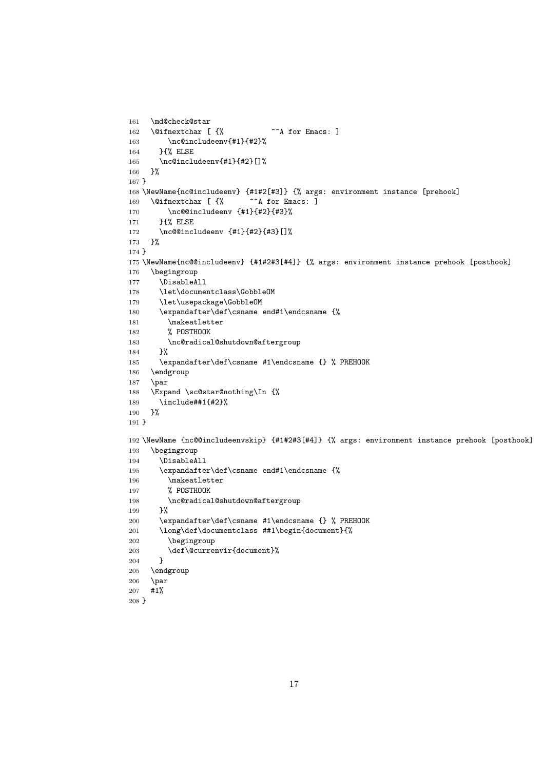```
161 \md@check@star
162 \@ifnextchar [ {% ^^A for Emacs: ]
163 \nc@includeenv{#1}{#2}%
164 }{% ELSE
165 \nc@includeenv{#1}{#2}[]%
166 }%
167 }
168 \NewName{nc@includeenv} {#1#2[#3]} {% args: environment instance [prehook]
169 \@ifnextchar [ {% ^^A for Emacs: ]
170 \nc@@includeenv {#1}{#2}{#3}%
171 }{% ELSE
172 \nc@@includeenv {#1}{#2}{#3}[]%
173 }%
174 }
175 \NewName{nc@@includeenv} {#1#2#3[#4]} {% args: environment instance prehook [posthook]
176 \begingroup
177 \DisableAll
178 \let\documentclass\GobbleOM
179 \let\usepackage\GobbleOM
180 \expandafter\def\csname end#1\endcsname {%
181 \makeatletter
182 % POSTHOOK
183 \nc@radical@shutdown@aftergroup
184 }%
185 \expandafter\def\csname #1\endcsname {} % PREHOOK
186 \endgroup
187 \par
188 \Expand \sc@star@nothing\In {%
189 \include##1{#2}%
190 }%
191 }
192 \NewName {nc@@includeenvskip} {#1#2#3[#4]} {% args: environment instance prehook [posthook]
193 \begingroup
194 \DisableAll
195 \expandafter\def\csname end#1\endcsname {%
196 \makeatletter
197 % POSTHOOK
198 \nc@radical@shutdown@aftergroup
199 }%
200 \expandafter\def\csname #1\endcsname {} % PREHOOK
201 \long\def\documentclass ##1\begin{document}{%
202 \begingroup
203 \def\@currenvir{document}%<br>204 }
204205 \endgroup
206 \perppar
207 #1%
208 }
```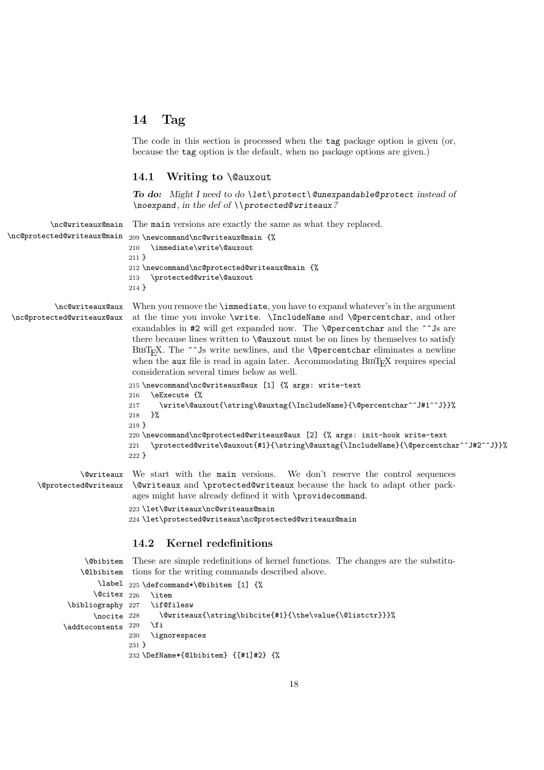## **14 Tag**

The code in this section is processed when the tag package option is given (or, because the tag option is the default, when no package options are given.)

## **14.1 Writing to** \@auxout

*To do: Might I need to do \let\ protect\ @unexpandable@ protect instead of \noexpand, in the def of \\ protected@ writeaux?*

\nc@writeaux@main The main versions are exactly the same as what they replaced.

| \nc@protected@writeaux@main | 209 \newcommand \nc@writeaux@main {%          |
|-----------------------------|-----------------------------------------------|
|                             | \immediate\write\@auxout<br>210               |
|                             | $211$ }                                       |
|                             | 212 \newcommand\nc@protected@writeaux@main {% |
|                             | \protected@write\@auxout<br>213               |
|                             | $214$ }                                       |

\nc@protected@writeaux@aux

\nc@writeaux@aux When you remove the \immediate, you have to expand whatever's in the argument at the time you invoke \write. \IncludeName and \@percentchar, and other exandables in  $\#2$  will get expanded now. The **\@percentchar** and the  $\hat{ }$  s are there because lines written to \@auxout must be on lines by themselves to satisfy BIBT<sub>E</sub>X. The ^^Js write newlines, and the **\@percentchar** eliminates a newline when the aux file is read in again later. Accommodating  $BIBT_FX$  requires special consideration several times below as well.

```
215 \newcommand\nc@writeaux@aux [1] {% args: write-text
216 \eExecute {%
217 \write\@auxout{\string\@auxtag{\IncludeName}{\@percentchar^^J#1^^J}}%
218 }%
219 }
220 \newcommand\nc@protected@writeaux@aux [2] {% args: init-hook write-text
221 \protected@write\@auxout{#1}{\string\@auxtag{\IncludeName}{\@percentchar^^J#2^^J}}%
222 }
```
\@writeaux We start with the main versions. We don't reserve the control sequences \@protected@writeaux \@writeaux and \protected@writeaux because the hack to adapt other packages might have already defined it with \providecommand. 223 \let\@writeaux\nc@writeaux@main 224 \let\protected@writeaux\nc@protected@writeaux@main

#### **14.2 Kernel redefinitions**

```
\@bibitem
These are simple redefinitions of kernel functions. The changes are the substitu-
    \@lbibitem
tions for the writing commands described above.
        \label
225 \defcommand*\@bibitem [1] {%
       \text{Qciter } 226\bibliography 227
       \nocite 228
\lambdaaddtocontents 229
                     \item
                      \if@filesw
                       228 \@writeaux{\string\bibcite{#1}{\the\value{\@listctr}}}%
                     \chifi
                230 \ignorespaces
                231 }
                232 \DefName*{@lbibitem} {[#1]#2} {%
```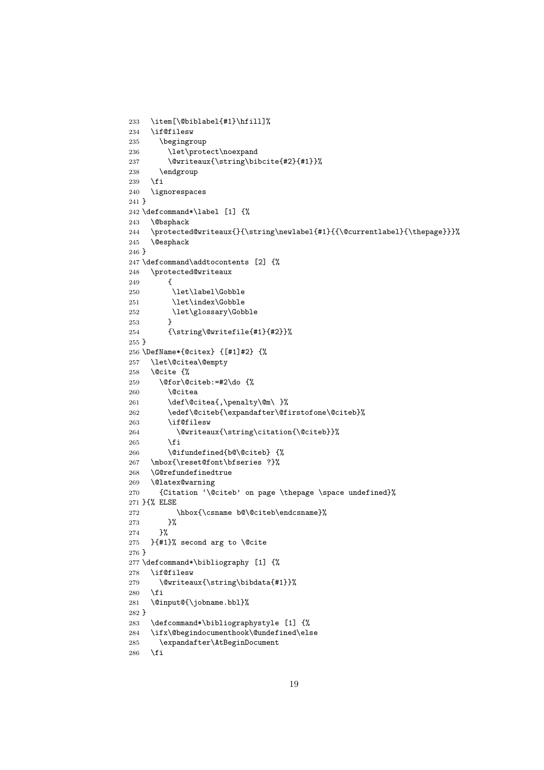```
233 \item[\@biblabel{#1}\hfill]%
234 \if@filesw
235 \begingroup
236 \let\protect\noexpand
237 \@writeaux{\string\bibcite{#2}{#1}}%
238 \endgroup
239 \fi
240 \ignorespaces
241 }
242 \defcommand*\label [1] {%
243 \@bsphack
244 \protected@writeaux{}{\string\newlabel{#1}{{\@currentlabel}{\thepage}}}%
245 \@esphack
246 }
247 \defcommand\addtocontents [2] {%
248 \protected@writeaux
249 {
250 \let\label\Gobble
251 \let\index\Gobble
252 \let\glossary\Gobble
253254 {\string\@writefile{#1}{#2}}%
255 }
256 \DefName*{@citex} {[#1]#2} {%
257 \let\@citea\@empty
258 \@cite {%
259 \@for\@citeb:=#2\do {%
260 \Ccitea
261 \def\@citea{,\penalty\@m\ }%
262 \edef\@citeb{\expandafter\@firstofone\@citeb}%
263 \if@filesw
264 \@writeaux{\string\citation{\@citeb}}%
265 \fi
266 \@ifundefined{b@\@citeb} {%
267 \mbox{\reset@font\bfseries ?}%
268 \G@refundefinedtrue
269 \@latex@warning
270 {Citation '\@citeb' on page \thepage \space undefined}%
271 }{% ELSE
272 \hbox{\csname b@\@citeb\endcsname}%
273 }%
274 }%
275 }{#1}% second arg to \@cite
276 }
277 \defcommand*\bibliography [1] {%
278 \if@filesw
279 \@writeaux{\string\bibdata{#1}}%
280 \fi
281 \@input@{\jobname.bbl}%
282 }
283 \defcommand*\bibliographystyle [1] {%
284 \ifx\@begindocumenthook\@undefined\else
285 \expandafter\AtBeginDocument
286 \fi
```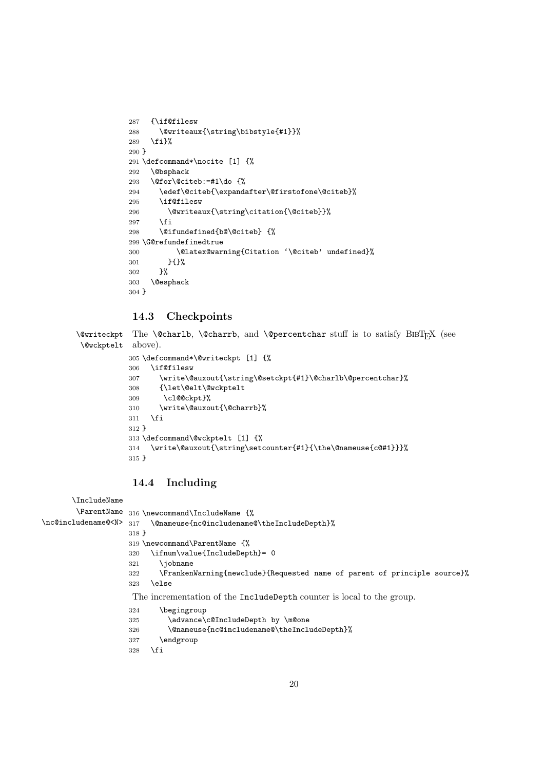```
287 {\if@filesw
288 \@writeaux{\string\bibstyle{#1}}%
289 \fi}%
290 }
291 \defcommand*\nocite [1] {%
292 \@bsphack
293 \@for\@citeb:=#1\do {%
294 \edef\@citeb{\expandafter\@firstofone\@citeb}%
295 \if@filesw
296 \@writeaux{\string\citation{\@citeb}}%
297 \fi
298 \@ifundefined{b@\@citeb} {%
299 \G@refundefinedtrue
300 \@latex@warning{Citation '\@citeb' undefined}%
301 }{}%
302 }%
303 \@esphack
304 }
```
## **14.3 Checkpoints**

 $\Diamond$ writeckpt The  $\Diamond$ charlb,  $\Diamond$ charrb, and  $\Diamond$  percentchar stuff is to satisfy BIBT<sub>E</sub>X (see \@wckptelt above).

```
305 \defcommand*\@writeckpt [1] {%
306 \if@filesw
307 \write\@auxout{\string\@setckpt{#1}\@charlb\@percentchar}%
308 {\let\@elt\@wckptelt
309 \cl@@ckpt}%
310 \write\@auxout{\@charrb}%
311 \fi
312 }
313 \defcommand\@wckptelt [1] {%
314 \write\@auxout{\string\setcounter{#1}{\the\@nameuse{c@#1}}}%
315 }
```
## **14.4 Including**

```
\IncludeName
       \ParentName
316 \newcommand\IncludeName {%
\nc@includename@<N> 317 \@nameuse{nc@includename@\theIncludeDepth}%
                   318 }
                   319 \newcommand\ParentName {%
                   320 \ifnum\value{IncludeDepth}= 0
                   321 \jobname
                   322 \FrankenWarning{newclude}{Requested name of parent of principle source}%
                   323 \else
                   The incrementation of the IncludeDepth counter is local to the group.
                   324 \begingroup
                   325 \advance\c@IncludeDepth by \m@one
                   326 \@nameuse{nc@includename@\theIncludeDepth}%
                   327 \endgroup
                   328 \fi
```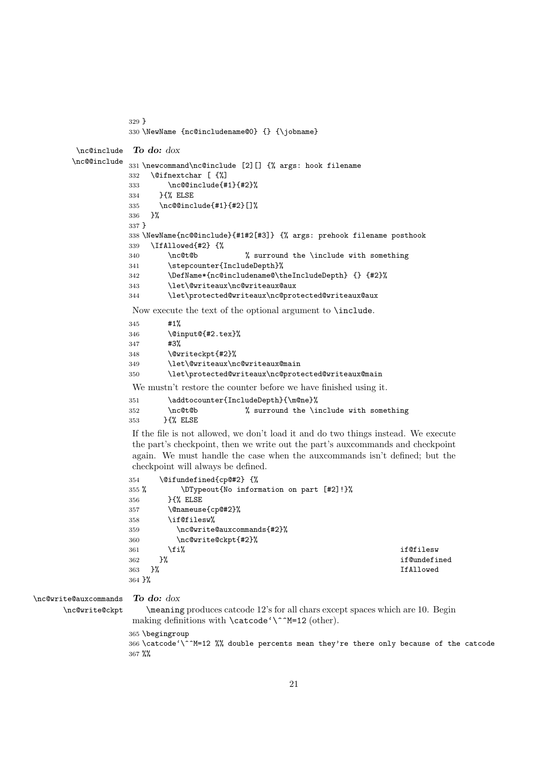```
329 }
330 \NewName {nc@includename@0} {} {\jobname}
```

```
\nc@include
To do: dox
\nc@@include
           331 \newcommand\nc@include [2][] {% args: hook filename
               \@ifnextchar [ {%]
            333 \nc@@include{#1}{#2}%
            334 }{% ELSE
            335 \nc@@include{#1}{#2}[]%
            336 }%
            337 }
            338 \NewName{nc@@include}{#1#2[#3]} {% args: prehook filename posthook
            339 \IfAllowed{#2} {%
            340 \nc@t@b % surround the \include with something
            341 \stepcounter{IncludeDepth}%
            342 \DefName*{nc@includename@\theIncludeDepth} {} {#2}%
            343 \let\@writeaux\nc@writeaux@aux
            344 \let\protected@writeaux\nc@protected@writeaux@aux
            Now execute the text of the optional argument to \include.
            345 #1%
            346 \@input@{#2.tex}%
            347 #3%
            348 \@writeckpt{#2}%
            349 \let\@writeaux\nc@writeaux@main
            350 \let\protected@writeaux\nc@protected@writeaux@main
            We mustn't restore the counter before we have finished using it.
            351 \addtocounter{IncludeDepth}{\m@ne}%
```

```
352 \nc@t@b % surround the \include with something
353 }{% ELSE
```
If the file is not allowed, we don't load it and do two things instead. We execute the part's checkpoint, then we write out the part's auxcommands and checkpoint again. We must handle the case when the auxcommands isn't defined; but the checkpoint will always be defined.

```
354 \@ifundefined{cp@#2} {%
355 % \DTypeout{No information on part [#2]!}%
356 }{% ELSE
357 \@nameuse{cp@#2}%
358 \if@filesw%
359 \nc@write@auxcommands{#2}%
360 \nc@write@ckpt{#2}%
361 \fi% different control of the set of the set of the set of the set of the set of the set of the set of the set of the set of the set of the set of the set of the set of the set of the set of the set of the set of the s
362 }% if@undefined
363 }% IfAllowed
364 }%
```
\nc@write@auxcommands \nc@write@ckpt

```
To do: dox
```
\meaning produces catcode 12's for all chars except spaces which are 10. Begin making definitions with  $\c{ \^M=12}$  (other).

\begingroup

 \catcode'\^^M=12 %% double percents mean they're there only because of the catcode %%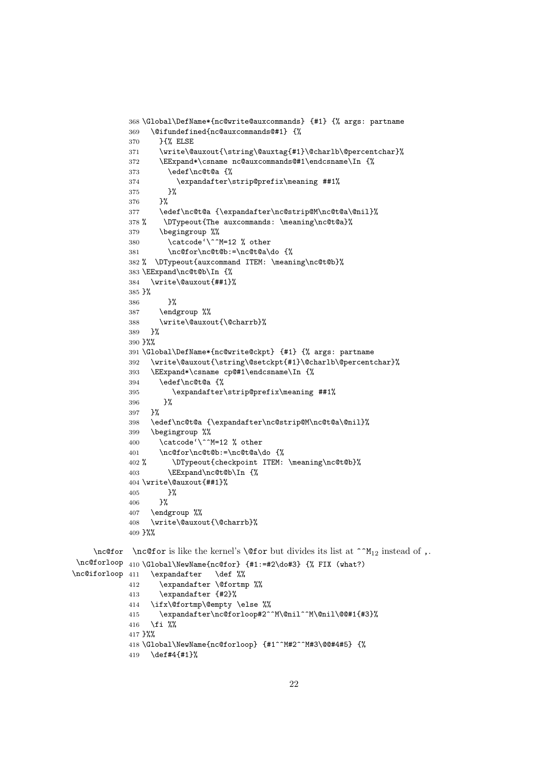```
368 \Global\DefName*{nc@write@auxcommands} {#1} {% args: partname
            369 \@ifundefined{nc@auxcommands@#1} {%
            370 }{% ELSE
            371 \write\@auxout{\string\@auxtag{#1}\@charlb\@percentchar}%
            372 \EExpand*\csname nc@auxcommands@#1\endcsname\In {%
            373 \edef\nc@t@a {%
            374 \expandafter\strip@prefix\meaning ##1%
            375 }%
            376 }%
            377 \edef\nc@t@a {\expandafter\nc@strip@M\nc@t@a\@nil}%
            378 % \DTypeout{The auxcommands: \meaning\nc@t@a}%
            379 \begingroup %%
            380 \catcode'\^^M=12 % other
            381 \nc@for\nc@t@b:=\nc@t@a\do {%
            382 % \DTypeout{auxcommand ITEM: \meaning\nc@t@b}%
            383 \EExpand\nc@t@b\In {%
            384 \write\@auxout{##1}%
            385 }%
            386 }%
            387 \endgroup %%
            388 \write\@auxout{\@charrb}%
            389 }%
            390 }%%
            391 \Global\DefName*{nc@write@ckpt} {#1} {% args: partname
            392 \write\@auxout{\string\@setckpt{#1}\@charlb\@percentchar}%
            393 \EExpand*\csname cp@#1\endcsname\In {%
            394 \edef\nc@t@a {%
            395 \expandafter\strip@prefix\meaning ##1%
            396 }%
            397 }%
            398 \edef\nc@t@a {\expandafter\nc@strip@M\nc@t@a\@nil}%
            399 \begingroup %%
            400 \catcode' \^M=12 % other401 \nc@for\nc@t@b:=\nc@t@a\do {%
            402 % \DTypeout{checkpoint ITEM: \meaning\nc@t@b}%
            403 \EExpand\nc@t@b\In {%
            404 \write\@auxout{##1}%
            405 }%
            406 }%
            407 \endgroup %%
            408 \write\@auxout{\@charrb}%
            409 }%%
    \nc@for \nc@for is like the kernel's \@for but divides its list at ^^M<sub>12</sub> instead of ,.
 \nc@forloop
410 \Global\NewName{nc@for} {#1:=#2\do#3} {% FIX (what?)
\nc@iforloop 411
                 \expandafter \def %%
            412 \expandafter \@fortmp %%
            413 \expandafter {#2}%
            414 \ifx\@fortmp\@empty \else %%
            415 \expandafter\nc@forloop#2^^M\@nil^^M\@nil\@@#1{#3}%
            416 \fi \frac{1}{2}%
            417 }%%
```

```
418 \Global\NewName{nc@forloop} {#1^^M#2^^M#3\@@#4#5} {%
419 \def#4{#1}%
```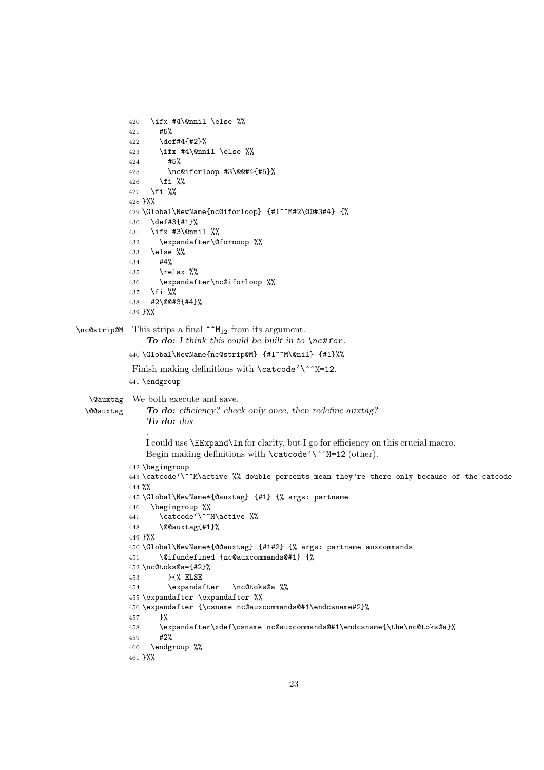```
420 \ifx #4\@nnil \else %%
           421 #5%
           422 \def#4{#2}%
           423 \ifx #4\@nnil \else %%
           424 #5%
           425 \nc@iforloop #3\@@#4{#5}%
           426 \fi %%
           427 \fi %%
           428 }%%
           429 \Global\NewName{nc@iforloop} {#1^^M#2\@@#3#4} {%
           430 \def#3{#1}%
           431 \ifx #3\@nnil %%
           432 \expandafter\@fornoop %%
           433 \else %%
           434 #4%
           435 \relax %%
           436 \expandafter\nc@iforloop %%
           437 \fi %%
           438 #2\@@#3{#4}%
           439 }%%
\n\cdot This strips a final \hat{M}_{12} from its argument.
                To do: I think this could be built in to \nc@ for.
           440 \Global\NewName{nc@strip@M} {#1^^M\@nil} {#1}%%
            Finish making definitions with \catcode'^M=12.
           441 \endgroup
   \@auxtag
We both execute and save.
  \@@auxtag
                To do: efficiency? check only once, then redefine auxtag?
                To do: dox
                .
               I could use \EExpand\In for clarity, but I go for efficiency on this crucial macro.
               Begin making definitions with \catcode'\^^M=12 (other).
           442 \begingroup
           443 \catcode'\^^M\active %% double percents mean they're there only because of the catcode
           444 %%
           445 \Global\NewName*{@auxtag} {#1} {% args: partname
           446 \begingroup %%
           447 \catcode'\^^M\active %%
           448 \@@auxtag{#1}%
           449 }%%
           450 \Global\NewName*{@@auxtag} {#1#2} {% args: partname auxcommands
           451 \@ifundefined {nc@auxcommands@#1} {%
           452 \nc@toks@a={#2}%
           453 }{% ELSE
           454 \expandafter \nc@toks@a %%
           455 \expandafter \expandafter %%
           456 \expandafter {\csname nc@auxcommands@#1\endcsname#2}%
           457 }%
           458 \expandafter\xdef\csname nc@auxcommands@#1\endcsname{\the\nc@toks@a}%
           459 #2%
           460 \endgroup %%
           461 }%%
```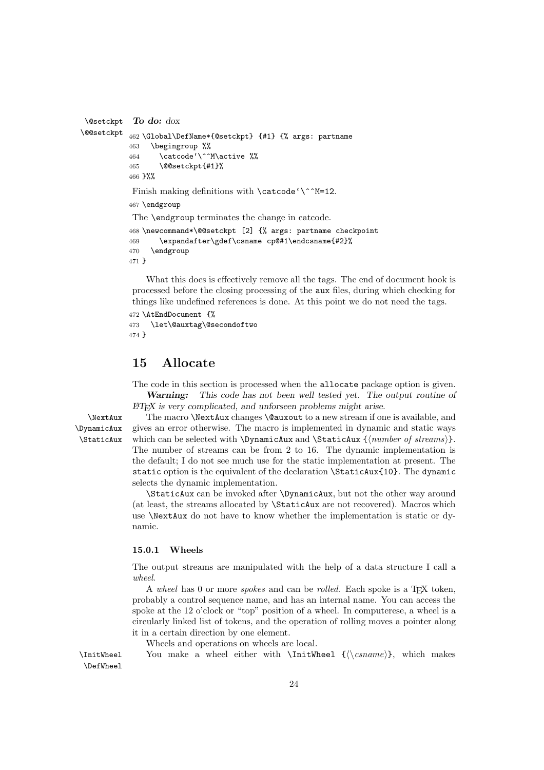```
\@setckpt
\@@setckpt
            To do: dox
           462 \Global\DefName*{@setckpt} {#1} {% args: partname
           463 \begingroup %%
           464 \catcode'\^^M\active %%
           465 \@@setckpt{#1}%
           466 }%%
            Finish making definitions with \catcode'<sup>-12</sup>.
           467 \endgroup
            The \endgroup terminates the change in catcode.
           468 \newcommand*\@@setckpt [2] {% args: partname checkpoint
           469 \expandafter\gdef\csname cp@#1\endcsname{#2}%
           470 \endgroup
           471 }
```
What this does is effectively remove all the tags. The end of document hook is processed before the closing processing of the aux files, during which checking for things like undefined references is done. At this point we do not need the tags.

```
472 \AtEndDocument {%
473 \let\@auxtag\@secondoftwo
474 }
```
## **15 Allocate**

The code in this section is processed when the allocate package option is given. *Warning: This code has not been well tested yet. The output routine of LATEX is very complicated, and unforseen problems might arise.*

\DynamicAux \StaticAux

\NextAux The macro \NextAux changes \@auxout to a new stream if one is available, and gives an error otherwise. The macro is implemented in dynamic and static ways which can be selected with \DynamicAux and \StaticAux {\number of streams}}. The number of streams can be from 2 to 16. The dynamic implementation is the default; I do not see much use for the static implementation at present. The static option is the equivalent of the declaration \StaticAux{10}. The dynamic selects the dynamic implementation.

> \StaticAux can be invoked after \DynamicAux, but not the other way around (at least, the streams allocated by \StaticAux are not recovered). Macros which use \NextAux do not have to know whether the implementation is static or dynamic.

#### **15.0.1 Wheels**

The output streams are manipulated with the help of a data structure I call a *wheel*.

A *wheel* has 0 or more *spokes* and can be *rolled*. Each spoke is a T<sub>E</sub>X token, probably a control sequence name, and has an internal name. You can access the spoke at the 12 o'clock or "top" position of a wheel. In computerese, a wheel is a circularly linked list of tokens, and the operation of rolling moves a pointer along it in a certain direction by one element.

Wheels and operations on wheels are local.

 $\{ \check{\mathcal{X}}\}$ , which makes a wheel either with  $\InitWheel \ {\langle \check{\mathcal{X}}\}$ , which makes \DefWheel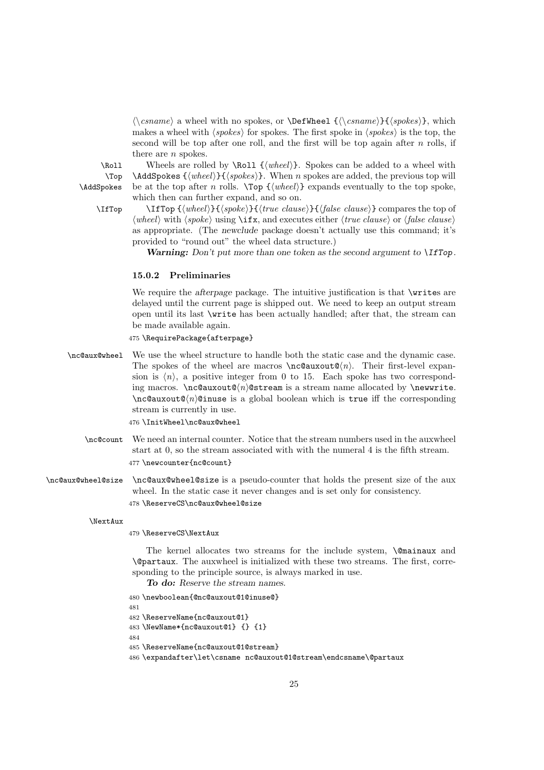$\langle \cos name \rangle$  a wheel with no spokes, or  $\Delta \{\csc name\}$  { $\langle \cos name \rangle$ }, which makes a wheel with  $\langle spokes \rangle$  for spokes. The first spoke in  $\langle spokes \rangle$  is the top, the second will be top after one roll, and the first will be top again after *n* rolls, if there are *n* spokes.

\Top \AddSpokes

\Roll Wheels are rolled by \Roll  ${\langle wheel \rangle}$ . Spokes can be added to a wheel with \AddSpokes {\*wheel*}}{\spokes}}. When *n* spokes are added, the previous top will be at the top after *n* rolls.  $\{\langle wheel\rangle\}$  expands eventually to the top spoke, which then can further expand, and so on. \IfTop \IfTop {*\wheel*}}{*\spoke*}}{*\true clause*}}{*\false clause*}} compares the top of

 $\langle$ *wheel* $\rangle$  with  $\langle$  *spoke* $\rangle$  using *\iint***x**, and executes either *\langle true clause* $\rangle$  or *\langle false clause* $\rangle$ as appropriate. (The *newclude* package doesn't actually use this command; it's provided to "round out" the wheel data structure.)

*Warning: Don't put more than one token as the second argument to \IfTop.*

## **15.0.2 Preliminaries**

We require the *afterpage* package. The intuitive justification is that **\writes** are delayed until the current page is shipped out. We need to keep an output stream open until its last \write has been actually handled; after that, the stream can be made available again.

475 \RequirePackage{afterpage}

\nc@aux@wheel We use the wheel structure to handle both the static case and the dynamic case. The spokes of the wheel are macros  $\n\cdot \alpha(n)$ . Their first-level expansion is  $\langle n \rangle$ , a positive integer from 0 to 15. Each spoke has two corresponding macros.  $\neq$   $\alpha$  **n**  $\alpha$  is a stream name allocated by  $\neq$   $\alpha$ .  $\langle n \rangle$   $\alpha$   $\alpha$   $\alpha$   $\beta$   $\alpha$   $\beta$   $\beta$   $\beta$   $\beta$   $\alpha$   $\beta$   $\beta$   $\beta$   $\alpha$   $\beta$   $\beta$   $\alpha$   $\beta$   $\beta$   $\alpha$   $\beta$   $\beta$   $\alpha$   $\beta$   $\beta$   $\beta$   $\alpha$   $\beta$   $\beta$   $\alpha$   $\beta$   $\beta$   $\alpha$   $\beta$   $\alpha$   $\beta$   $\alpha$   $\beta$   $\alpha$   $\beta$   $\alpha$   $\beta$   $\alpha$ stream is currently in use.

476 \InitWheel\nc@aux@wheel

- \nc@count We need an internal counter. Notice that the stream numbers used in the auxwheel start at 0, so the stream associated with with the numeral 4 is the fifth stream. 477 \newcounter{nc@count}
- \nc@aux@wheel@size \nc@aux@wheel@size is a pseudo-counter that holds the present size of the aux wheel. In the static case it never changes and is set only for consistency. 478 \ReserveCS\nc@aux@wheel@size

#### \NextAux

479 \ReserveCS\NextAux

The kernel allocates two streams for the include system,  $\Diamond$  mainaux and \@partaux. The auxwheel is initialized with these two streams. The first, corresponding to the principle source, is always marked in use.

*To do: Reserve the stream names.*

```
480 \newboolean{@nc@auxout@1@inuse@}
481
482 \ReserveName{nc@auxout@1}
483 \NewName*{nc@auxout@1} {} {1}
484
485 \ReserveName{nc@auxout@1@stream}
486 \expandafter\let\csname nc@auxout@1@stream\endcsname\@partaux
```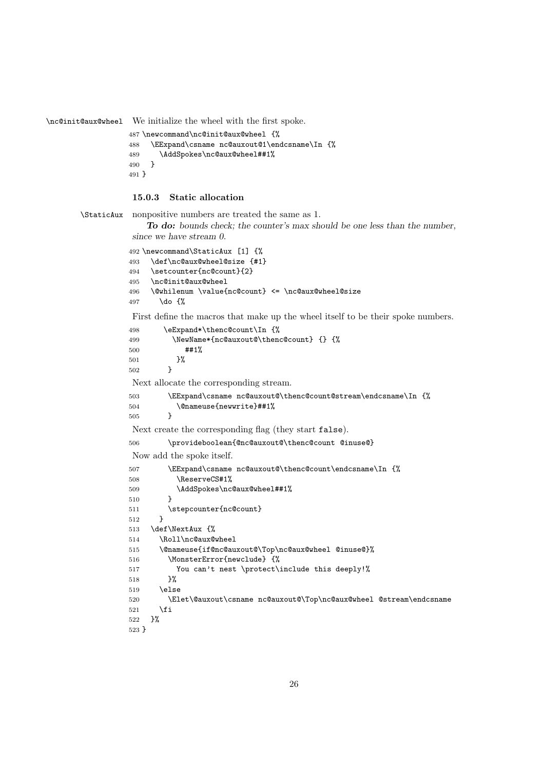\nc@init@aux@wheel We initialize the wheel with the first spoke.

```
487 \newcommand\nc@init@aux@wheel {%
488 \EExpand\csname nc@auxout@1\endcsname\In {%
489 \AddSpokes\nc@aux@wheel##1%
490 }
491 }
```
#### **15.0.3 Static allocation**

\StaticAux nonpositive numbers are treated the same as 1.

```
To do: bounds check; the counter's max should be one less than the number,
since we have stream 0.
492 \newcommand\StaticAux [1] {%
493 \def\nc@aux@wheel@size {#1}
494 \setcounter{nc@count}{2}
495 \nc@init@aux@wheel
496 \@whilenum \value{nc@count} <= \nc@aux@wheel@size
497 \do {%
First define the macros that make up the wheel itself to be their spoke numbers.
498 \eExpand*\thenc@count\In {%
499 \NewName*{nc@auxout@\thenc@count} {} {%
500 ##1%
501 }%
502 }
Next allocate the corresponding stream.
503 \EExpand\csname nc@auxout@\thenc@count@stream\endcsname\In {%
504 \@nameuse{newwrite}##1%
505 }
Next create the corresponding flag (they start false).
506 \provideboolean{@nc@auxout@\thenc@count @inuse@}
Now add the spoke itself.
507 \EExpand\csname nc@auxout@\thenc@count\endcsname\In {%
508 \ReserveCS#1%
509 \AddSpokes\nc@aux@wheel##1%
510 }
511 \stepcounter{nc@count}
512 }
513 \def\NextAux {%
514 \Roll\nc@aux@wheel
515 \@nameuse{if@nc@auxout@\Top\nc@aux@wheel @inuse@}%
516 \MonsterError{newclude} {%
517 You can't nest \protect\include this deeply!%
518 }%
519 \else
520 \Elet\@auxout\csname nc@auxout@\Top\nc@aux@wheel @stream\endcsname
521 \fi
522 }%
523 }
```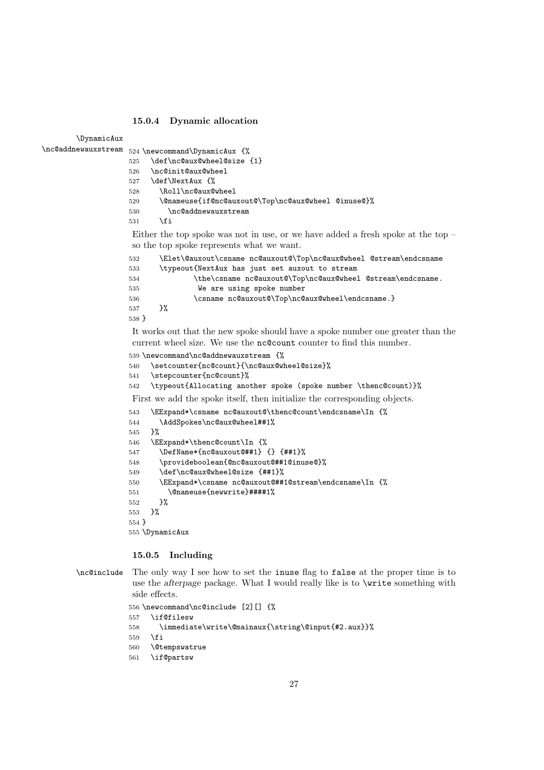#### **15.0.4 Dynamic allocation**

\DynamicAux

\nc@addnewauxstream 524 \newcommand\DynamicAux {%

|     | $\frac{1}{2}$ (now communicated $\frac{1}{2}$ ) in communication $\frac{1}{2}$ |
|-----|--------------------------------------------------------------------------------|
|     | 525 \def\nc@aux@wheel@size {1}                                                 |
| 526 | \nc@init@aux@wheel                                                             |
|     | 527 \def\NextAux {%                                                            |
| 528 | \Roll\nc@aux@wheel                                                             |
| 529 | \@nameuse{if@nc@auxout@\Top\nc@aux@wheel @inuse@}%                             |
| 530 | \nc@addnewauxstream                                                            |
| 531 | \fi                                                                            |
|     |                                                                                |

Either the top spoke was not in use, or we have added a fresh spoke at the top – so the top spoke represents what we want.

| 532   | \Elet\@auxout\csname nc@auxout@\Top\nc@aux@wheel @stream\endcsname |
|-------|--------------------------------------------------------------------|
| 533   | \typeout{NextAux has just set auxout to stream                     |
| 534   | \the\csname nc@auxout@\Top\nc@aux@wheel @stream\endcsname.         |
| 535   | We are using spoke number                                          |
| 536   | \csname nc@auxout@\Top\nc@aux@wheel\endcsname.}                    |
| 537   | ጉ%                                                                 |
| 538 } |                                                                    |

It works out that the new spoke should have a spoke number one greater than the current wheel size. We use the nc@count counter to find this number.

```
539 \newcommand\nc@addnewauxstream {%
540 \setcounter{nc@count}{\nc@aux@wheel@size}%
```

```
541 \stepcounter{nc@count}%
```
\typeout{Allocating another spoke (spoke number \thenc@count)}%

First we add the spoke itself, then initialize the corresponding objects.

```
543 \EExpand*\csname nc@auxout@\thenc@count\endcsname\In {%
544 \AddSpokes\nc@aux@wheel##1%
545 }%
546 \EExpand*\thenc@count\In {%
547 \DefName*{nc@auxout@##1} {} {##1}%
548 \provideboolean{@nc@auxout@##1@inuse@}%
549 \def\nc@aux@wheel@size {##1}%
550 \EExpand*\csname nc@auxout@##1@stream\endcsname\In {%
551 \@nameuse{newwrite}####1%
552 }%
553 }%
554 }
555 \DynamicAux
```
#### **15.0.5 Including**

\nc@include The only way I see how to set the inuse flag to false at the proper time is to use the *afterpage* package. What I would really like is to **\write** something with side effects.

```
556 \newcommand\nc@include [2][] {%
557 \if@filesw
558 \immediate\write\@mainaux{\string\@input{#2.aux}}%
559 \fi
560 \@tempswatrue
561 \if@partsw
```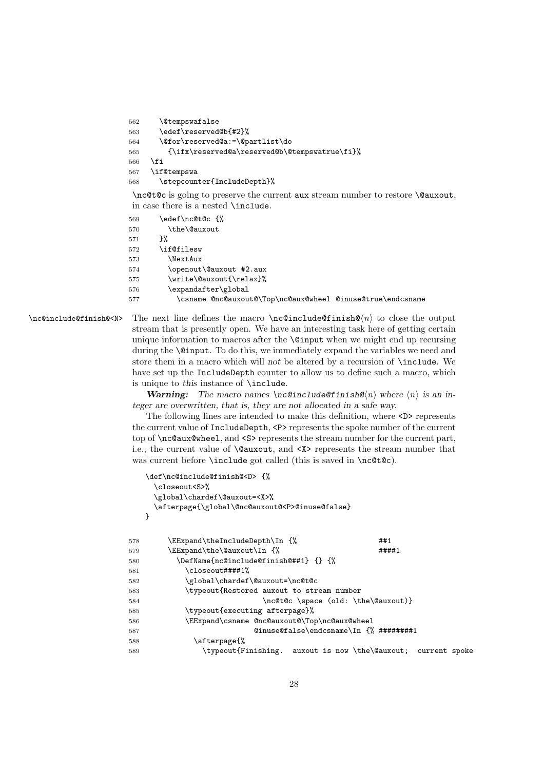```
562 \@tempswafalse
563 \edef\reserved@b{#2}%
564 \@for\reserved@a:=\@partlist\do
565 {\ifx\reserved@a\reserved@b\@tempswatrue\fi}%
566 \fi
567 \if@tempswa
568 \stepcounter{IncludeDepth}%
```
\nc@t@c is going to preserve the current aux stream number to restore \@auxout, in case there is a nested \include.

569 \edef\nc@t@c {% 570  $\theta\$ Une \@auxout 571 572 \if@filesw 573 \NextAux 574 \openout\@auxout #2.aux 575 \write\@auxout{\relax}% 576 \expandafter\global 577 \csname @nc@auxout@\Top\nc@aux@wheel @inuse@true\endcsname

 $\n\nc@include@finish@$  The next line defines the macro  $\nc@include@finish@ $n\rangle$  to close the output$ stream that is presently open. We have an interesting task here of getting certain unique information to macros after the \@input when we might end up recursing during the \@input. To do this, we immediately expand the variables we need and store them in a macro which will *not* be altered by a recursion of \include. We have set up the IncludeDepth counter to allow us to define such a macro, which is unique to *this* instance of \include.

> *Warning: The macro names \nc@include@finish@*-*n where* -*n is an integer are overwritten, that is, they are not allocated in a safe way.*

> The following lines are intended to make this definition, where <D> represents the current value of IncludeDepth, <P> represents the spoke number of the current top of \nc@aux@wheel, and <S> represents the stream number for the current part, i.e., the current value of \@auxout, and <X> represents the stream number that was current before **\include** got called (this is saved in **\nc@t@c**).

```
\def\nc@include@finish@<D> {%
    \closeout<S>%
    \global\chardef\@auxout=<X>%
    \afterpage{\global\@nc@auxout@<P>@inuse@false}
   }
578 \EExpand\theIncludeDepth\In {% ##1
579 \EExpand\the\@auxout\In \{\%580 \DefName{nc@include@finish@##1} {} {%
581 \closeout####1%
582 \global\chardef\@auxout=\nc@t@c
583 \typeout{Restored auxout to stream number
584 \nc@t@c \space (old: \the\@auxout) }
585 \typeout{executing afterpage}%
586 \EExpand\csname @nc@auxout@\Top\nc@aux@wheel
587 @inuse@false\endcsname\In {% ########1
588 \afterpage{%
589 \typeout{Finishing. auxout is now \the\@auxout; current spoke
```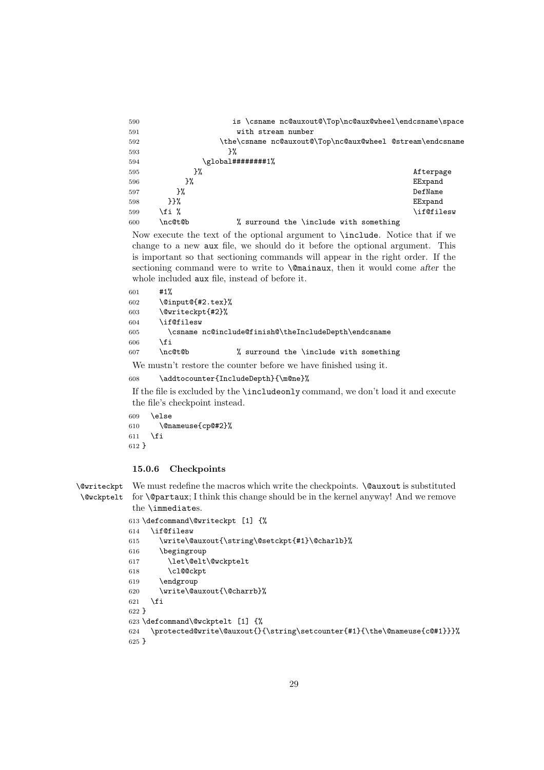| 590 |         | is \csname nc@auxout@\Top\nc@aux@wheel\endcsname\space    |            |
|-----|---------|-----------------------------------------------------------|------------|
| 591 |         | with stream number                                        |            |
| 592 |         | \the\csname nc@auxout@\Top\nc@aux@wheel @stream\endcsname |            |
| 593 |         | ን%                                                        |            |
| 594 |         | \global########1%                                         |            |
| 595 | }‰      |                                                           | Afterpage  |
| 596 | ን%      |                                                           | EExpand    |
| 597 | ጉ%      |                                                           | DefName    |
| 598 | ጉጉ%     |                                                           | EExpand    |
| 599 | \fi %   |                                                           | \if@filesw |
| 600 | \nc@t@b | % surround the \include with something                    |            |

Now execute the text of the optional argument to \include. Notice that if we change to a new aux file, we should do it before the optional argument. This is important so that sectioning commands will appear in the right order. If the sectioning command were to write to \@mainaux, then it would come *after* the whole included aux file, instead of before it.

```
601 #1%
602 \@input@{#2.tex}%
603 \@writeckpt{#2}%
604 \if@filesw
605 \csname nc@include@finish@\theIncludeDepth\endcsname
606 \fi
607 \nc@t@b % surround the \include with something
```
We mustn't restore the counter before we have finished using it.

```
608 \addtocounter{IncludeDepth}{\m@ne}%
```
If the file is excluded by the \includeonly command, we don't load it and execute the file's checkpoint instead.

```
609 \else
610 \@nameuse{cp@#2}%
611 \overline{f}612 }
```
#### **15.0.6 Checkpoints**

\@writeckpt \@wckptelt We must redefine the macros which write the checkpoints. **\@auxout** is substituted for \@partaux; I think this change should be in the kernel anyway! And we remove the \immediates.

```
613 \defcommand\@writeckpt [1] {%
614 \if@filesw
615 \write\@auxout{\string\@setckpt{#1}\@charlb}%
616 \begingroup
617 \let\@elt\@wckptelt
618 \cl@@ckpt
619 \endgroup
620 \write\@auxout{\@charrb}%
621 \setminusfi
622 }
623 \defcommand\@wckptelt [1] {%
624 \protected@write\@auxout{}{\string\setcounter{#1}{\the\@nameuse{c@#1}}}%
625 }
```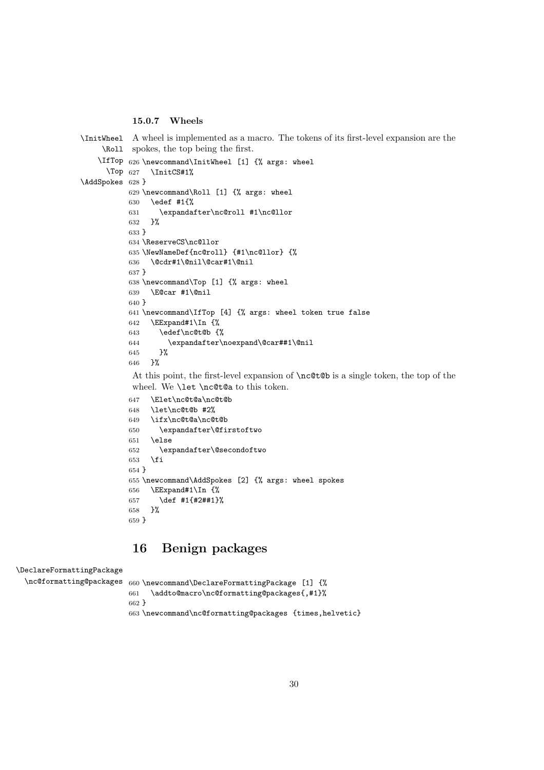#### **15.0.7 Wheels**

```
\InitWheel
     \Roll
    \IfTop
626 \newcommand\InitWheel [1] {% args: wheel
      \Upsilonop 627
\AddSpokes
628 }
            A wheel is implemented as a macro. The tokens of its first-level expansion are the
            spokes, the top being the first.
                \InitCS#1%
           629 \newcommand\Roll [1] {% args: wheel
           630 \edef #1{%
           631 \expandafter\nc@roll #1\nc@llor
           632 }%
           633 }
           634 \ReserveCS\nc@llor
           635 \NewNameDef{nc@roll} {#1\nc@llor} {%
           636 \@cdr#1\@nil\@car#1\@nil
           637 }
           638 \newcommand\Top [1] {% args: wheel
           639 \E@car #1\@nil
           640 }
           641 \newcommand\IfTop [4] {% args: wheel token true false
           642 \EExpand#1\In \{\%643 \edef\nc@t@b {%
           644 \expandafter\noexpand\@car##1\@nil
           645 }%
           646 }%
            At this point, the first-level expansion of \nc@t@b is a single token, the top of the
```
wheel. We **\let \nc@t@a** to this token.

```
647 \Elet\nc@t@a\nc@t@b
648 \let\nc@t@b #2%
649 \ifx\nc@t@a\nc@t@b
650 \expandafter\@firstoftwo
651 \else
652 \expandafter\@secondoftwo
653 \fi
654 }
655 \newcommand\AddSpokes [2] {% args: wheel spokes
656 \EExpand#1\In {%
657 \def #1{#2##1}%
658 }%
659 }
```
## **16 Benign packages**

```
\DeclareFormattingPackage
```

```
\nc@formatting@packages 660 \newcommand\DeclareFormattingPackage [1] {%
                        661 \addto@macro\nc@formatting@packages{,#1}%
                        662 }
                        663 \newcommand\nc@formatting@packages {times,helvetic}
```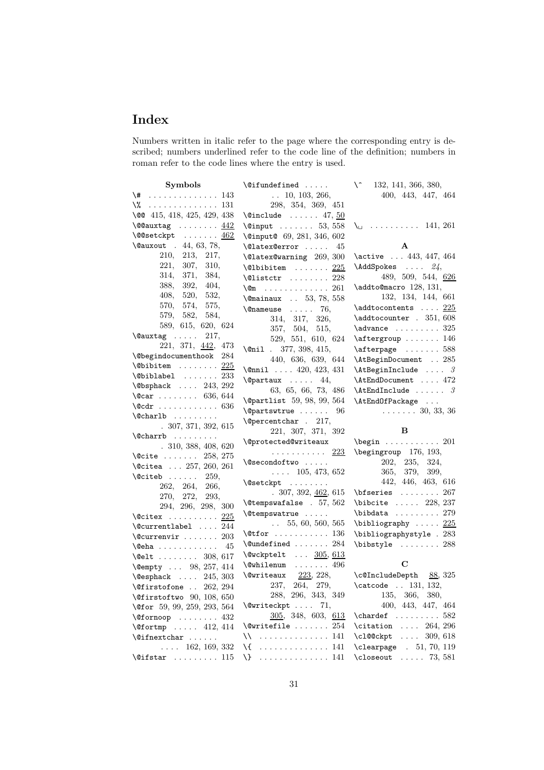# **Index**

Numbers written in italic refer to the page where the corresponding entry is described; numbers underlined refer to the code line of the definition; numbers in roman refer to the code lines where the entry is used.

| Symbols                                                                            | $\setminus$ Cifundefined                                         | $\mathcal{L}$<br>132, 141, 366, 380,                                                        |
|------------------------------------------------------------------------------------|------------------------------------------------------------------|---------------------------------------------------------------------------------------------|
| \#<br>. 143                                                                        | $\ldots$ 10, 103, 266,                                           | 400, 443, 447, 464                                                                          |
| $\sqrt{2}$ 131                                                                     | 298, 354, 369, 451                                               |                                                                                             |
| \co 415, 418, 425, 429, 438                                                        | $\text{Quadr} \dots 47, 50$                                      |                                                                                             |
| $\sqrt{00}$ auxtag $442$                                                           | $\varphi$ input  53, 558                                         | $\lambda_{1}$ 141, 261                                                                      |
| $\setminus$ @@setckpt <u>462</u>                                                   | \@input@ 69, 281, 346, 602                                       |                                                                                             |
| \@auxout . 44, 63, 78,                                                             | \@latex@error<br>45                                              | A                                                                                           |
| 210,<br>213, 217,                                                                  | \@latex@warning 269, 300                                         | \active  443, 447, 464                                                                      |
| 221,<br>307, 310,                                                                  | $\text{\textbackslash}$ Qlbibitem $\ldots \ldots \frac{225}{2}$  | \AddSpokes  24,                                                                             |
| 314, 371, 384,                                                                     | $\text{\textbackslash}\mathbb{Q}1$ ist $\text{ctr}$ 228          | 489, 509, 544, $626$                                                                        |
| 388,<br>392, 404,                                                                  | $\sqrt{25}$ 261                                                  | \addto@macro 128, 131,                                                                      |
| 408,<br>520, 532,                                                                  | \@mainaux  53, 78, 558                                           | 132, 134, 144, 661                                                                          |
| 570,<br>574, 575,                                                                  | $\{\n$ enameuse  76,                                             | $\addto$ contents $225$                                                                     |
| 579, 582, 584,                                                                     | 314, 317, 326,                                                   | \addtocounter . 351, 608                                                                    |
| 589, 615, 620, 624                                                                 | 357, 504, 515,                                                   | $\lambda$ advance $\ldots \ldots 325$                                                       |
| $\text{Quxtag} \dots 217,$                                                         | 529, 551, 610, 624                                               | $\text{degree} \dots \dots \ 146$                                                           |
| 221, 371, 442, 473                                                                 | $\chi$ enil . 377, 398, 415,                                     | $\text{afterpage} \dots \dots \ 588$                                                        |
| <b>\@begindocumenthook</b> 284                                                     | 440, 636, 639, 644                                               | \AtBeginDocument  285                                                                       |
| $\setminus$ ©bibitem  225                                                          | $\text{Onnil}$ 420, 423, 431                                     | $\lambda t$ BeginInclude  3                                                                 |
| $\verb+\Qbiblabel + \dots + 233+$                                                  | $\qquad$ 44,                                                     | \AtEndDocument  472                                                                         |
| $\text{V}$ Obsphack  243, 292                                                      | 63, 65, 66, 73, 486                                              | $\Lambda$ tEndInclude  3                                                                    |
| $\sqrt{c}ar$ 636, 644                                                              | \@partlist 59, 98, 99, 564                                       | \AtEndOfPackage                                                                             |
| $\sqrt{c}$ dr  636                                                                 | <i><b>\@partswtrue</b></i><br>96                                 | $\ldots \ldots 30, 33, 36$                                                                  |
| $\lambda$ charlb                                                                   |                                                                  |                                                                                             |
|                                                                                    |                                                                  |                                                                                             |
| .307,371,392,615                                                                   | \@percentchar . 217,                                             | B                                                                                           |
| $\lambda$ charrb                                                                   | 221, 307, 371, 392                                               |                                                                                             |
| .310, 388, 408, 620                                                                | \@protected@writeaux                                             | $\begin{bmatrix} \text{begin} 0 & \cdots & \cdots & 201 \end{bmatrix}$                      |
| $\text{Qcite} \dots \dots \quad 258, 275$                                          | . <u>223</u><br>\@secondoftwo                                    | $\begin{bmatrix} \begin{array}{cc} 176,193, \end{array} \end{bmatrix}$<br>202, 235,<br>324, |
| $\lambda$ Citea  257, 260, 261                                                     |                                                                  | 365, 379,<br>399,                                                                           |
| $\text{Qciteb} \ldots \ldots 259,$                                                 | $\ldots$ 105, 473, 652<br>\@setckpt                              | 442, 446, 463, 616                                                                          |
| 262, 264, 266,                                                                     |                                                                  | $\b{f}$ series  267                                                                         |
| 270, 272, 293,                                                                     | .307, 392, 462, 615                                              |                                                                                             |
| 294, 296, 298, 300                                                                 | $\text{\textbackslash}$ Ctempswafalse . 57, 562<br>\@tempswatrue | $\big\{\n  bitcite  228, 237\n$<br>$\boldsymbol{\lambda} \ldots \ldots 279$                 |
| $\text{Vector}$ 225                                                                | $\ldots$ 55, 60, 560, 565                                        |                                                                                             |
| $\text{Currentlabel} \dots$ 244                                                    | $\text{Ctfor} \dots \dots \dots \dots 136$                       | $\big\{\n  bibliography \ldots \quad \frac{225}{125}\n$                                     |
| $\verb+\@current"\dots 203$                                                        |                                                                  | \bibliographystyle . 283<br>\bibstyle  288                                                  |
| $\text{Qeha}$<br>45                                                                | $\label{lem:main} $$\Qundefined \dots 284$                       |                                                                                             |
| $\text{Qelt}$ 308, 617                                                             | \@wckptelt  305, 613<br>$\text{Qwhilenum}$ 496                   | C                                                                                           |
| \@empty  98, 257, 414                                                              |                                                                  |                                                                                             |
| $\label{eq:ex1} \texttt{{\char'134}Qesphack~~\ldots~~} 245,\, 303$                 | $\text{Qwriteaux}$ $223, 228,$<br>237,<br>279,<br>264,           | \c@IncludeDepth 88, 325                                                                     |
| $\text{\textdegree}$ . 262, 294                                                    | 288, 296, 343, 349                                               | $\text{\textbackslash}$ catcode  131, 132,<br>135, 366, 380,                                |
| $\text{Qfirst}$ oftwo 90, 108, 650                                                 |                                                                  | 400, 443, 447, 464                                                                          |
| \@for 59, 99, 259, 293, 564                                                        | $\text{Qwriteckpt} \dots$ 71,<br>305, 348, 603, 613              | $\lambda$ : 582                                                                             |
| $\sqrt{9}$ fornoop  432                                                            | $\texttt{\texttt{{\char'134}}}\$ $254$                           |                                                                                             |
| $\sqrt{9}$ fortmp  412, 414                                                        | . 141<br>∖∖                                                      | $\text{citation} \dots 264, 296$<br>\cl@@ckpt<br>$\ldots$ 309, 618                          |
| $\left\{ \mathcal{C}_{\text{inextchar}} \ldots \right\}$<br>$\ldots$ 162, 169, 332 |                                                                  | $\text{clearpage}$ . 51, 70, 119                                                            |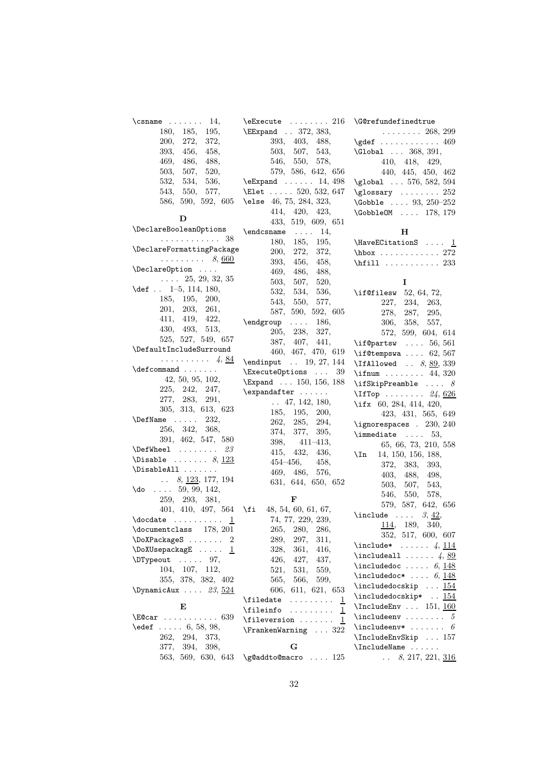| $\{\text{csname} \dots \dots \ 14,$                                    | $\text{Ezecute} \dots \dots 216$                    | $\qquad$ G $@$ refundefinedtrue                                             |
|------------------------------------------------------------------------|-----------------------------------------------------|-----------------------------------------------------------------------------|
| 180, 185,<br>195,                                                      | <b>\EExpand</b> . 372, 383,                         | $\ldots \ldots 268, 299$                                                    |
| 200, 272, 372,                                                         | 393, 403, 488,                                      | $\qquad \qquad \ldots \ldots \qquad \qquad 469$                             |
| 393,<br>456,<br>458,                                                   | 503, 507, 543,                                      | \Global  368, 391,                                                          |
| 469,<br>486,<br>488,                                                   | 546, 550, 578,                                      | 410, 418, 429,                                                              |
| 503,<br>507,<br>520,                                                   | 579, 586, 642, 656                                  | 440, 445, 450, 462                                                          |
| 532, 534,<br>536,                                                      | $\text{C}\$ 14, 498                                 | \global  576, 582, 594                                                      |
| 543, 550,<br>577,                                                      | \Elet  520, 532, 647                                | $\gamma \ldots 252$                                                         |
|                                                                        | 586, 590, 592, 605 \else 46, 75, 284, 323,          | $\Lambda$ 93, 250-252                                                       |
|                                                                        | 414, 420, 423,                                      | $\text{CobbleOM} \dots 178, 179$                                            |
| D                                                                      | 433, 519, 609, 651                                  |                                                                             |
| \DeclareBooleanOptions                                                 | $\end{math}$ 14,                                    | н                                                                           |
| . 38                                                                   | 180, 185, 195,                                      | \HaveECitationS $\ldots$ 1                                                  |
| \DeclareFormattingPackage                                              | 200, 272,<br>372,                                   | $hbox \ldots \ldots \ldots 272$                                             |
| $\ldots \ldots \ldots$ 8, 660                                          | 393, 456,<br>458,                                   |                                                                             |
| \Declare0ption                                                         | 469, 486,                                           | \hfill $\ldots \ldots \ldots 233$                                           |
| $\ldots$ 25, 29, 32, 35                                                | 488,                                                |                                                                             |
| $\text{def}$ . 1-5, 114, 180,                                          | 503,<br>507,<br>520,                                | 1                                                                           |
| 185, 195, 200,                                                         | 532, 534,<br>536,                                   | $\iota$ if@filesw 52, 64, 72,                                               |
| 201, 203, 261,                                                         | 543, 550, 577,                                      | 227, 234,<br>263,                                                           |
| 411, 419,<br>422,                                                      | 587, 590, 592, 605                                  | 278, 287,<br>295,                                                           |
| 430, 493, 513,                                                         | $\end{group} \dots 186,$                            | 306, 358, 557,                                                              |
| 525, 527, 549, 657                                                     | 205, 238,<br>327,                                   | 572, 599, 604, 614                                                          |
|                                                                        | 387, 407, 441,                                      | $\iota$ if Opartsw  56, 561                                                 |
| \DefaultIncludeSurround                                                | 460, 467, 470, 619                                  | \if@tempswa $62, 567$                                                       |
| . 4, <u>84</u>                                                         | \endinput  19, 27, 144                              | \IfAllowed $\ldots$ 8, 89, 339                                              |
| $\defcommand$                                                          | \ExecuteOptions<br>39                               | \ifnum  44, 320                                                             |
| 42, 50, 95, 102,                                                       | \Expand  150, 156, 188                              | \ifSkipPreamble $\ldots$ 8                                                  |
| 225, 242, 247,                                                         | $\verb+\exp+ and after  $                           | \IfTop $24,626$                                                             |
| 277, 283, 291,                                                         | $\ldots$ 47, 142, 180,                              | \ifx 60, 284, 414, 420,                                                     |
| 305, 313, 613, 623                                                     | 185, 195, 200,                                      | 423, 431, 565, 649                                                          |
| $\Delta$ 232,                                                          | 262, 285, 294,                                      | \ignorespaces . $230, 240$                                                  |
| 256, 342, 368,                                                         | 374, 377,<br>395,                                   | $\lambda$ immediate $\ldots$ 53,                                            |
| 391, 462, 547, 580                                                     | $398, 411 - 413,$                                   | 65, 66, 73, 210, 558                                                        |
| $\texttt{\textbackslash\textbackslash} \mathbb{C}$                     | 415, 432,<br>436,                                   | $\{In$ 14, 150, 156, 188,                                                   |
| $\Delta$ bisable  8, 123                                               | $454 - 456,$<br>458,                                | 372, 383,<br>393,                                                           |
| $\Delta 11 \ldots$                                                     | 469, 486, 576,                                      | 403, 488,<br>498,                                                           |
| $\ldots$ 8, 123, 177, 194                                              | 631, 644, 650, 652                                  | 503,<br>507,<br>543,                                                        |
| $\lambda$ do  59, 99, 142,                                             |                                                     | 546,<br>550,<br>578,                                                        |
| 259, 293, 381,                                                         | F                                                   | 579, 587, 642, 656                                                          |
|                                                                        | 401, 410, 497, 564 \fi 48, 54, 60, 61, 67,          | \include $3, 42,$                                                           |
| $\delta$ $\ldots$ $\ldots$ $\frac{1}{\delta}$                          | 74, 77, 229, 239,                                   |                                                                             |
| \documentclass<br>178, 201                                             | 265,<br>$280, \,$<br>286,                           | 114, 189, 340,                                                              |
| \DoXPackageS<br>$\overline{2}$                                         | 289,<br>297,<br>311,                                | 352, 517, 600, 607                                                          |
| \DoXUsepackagE <u>1</u>                                                | 328,<br>361,<br>416,                                | $\int \text{ln}(1) \, \text{ln}(1) \cdot \ldots \cdot 4$ , $\frac{114}{11}$ |
| $\D{Typeout}$ 97,                                                      | 426,<br>427,<br>437,                                | $\int \text{1} \cdot \cdot \cdot 4, 89$                                     |
| 104, 107, 112,                                                         | 521.<br>531,<br>559,                                | $\infty$ 6, 148                                                             |
| 355, 378, 382, 402                                                     | 566,<br>565.<br>599,                                | $\infty *$ 6, 148                                                           |
| \DynamicAux $23,524$                                                   | 606, 611, 621, 653                                  | \includedocskip  154                                                        |
|                                                                        | $\{ \text{filedate} \dots \dots \}$<br>ᆂ            | \includedocskip* <u>154</u>                                                 |
| E                                                                      | $\left\{ \text{filename} \dots \dots \right\}$<br>1 | $\Lambda$ 151, 160                                                          |
| $\texttt{\textbackslash} \texttt{E@car} \dots \dots \dots \dots \ 639$ | \fileversion<br>1                                   |                                                                             |
| $\text{led} 6, 58, 98,$                                                | $\verb \FrankenWarning  322 $                       | \include<br>env* $\cdot \cdot \cdot \cdot \cdot$ 6                          |
| 262, 294, 373,                                                         |                                                     | \IncludeEnvSkip  157                                                        |
| 377, 394,<br>398,                                                      | G                                                   |                                                                             |
| 563, 569, 630, 643                                                     | \g@addto@macro  125                                 | 8, 217, 221, 316<br>$\mathbf{1}$                                            |
|                                                                        |                                                     |                                                                             |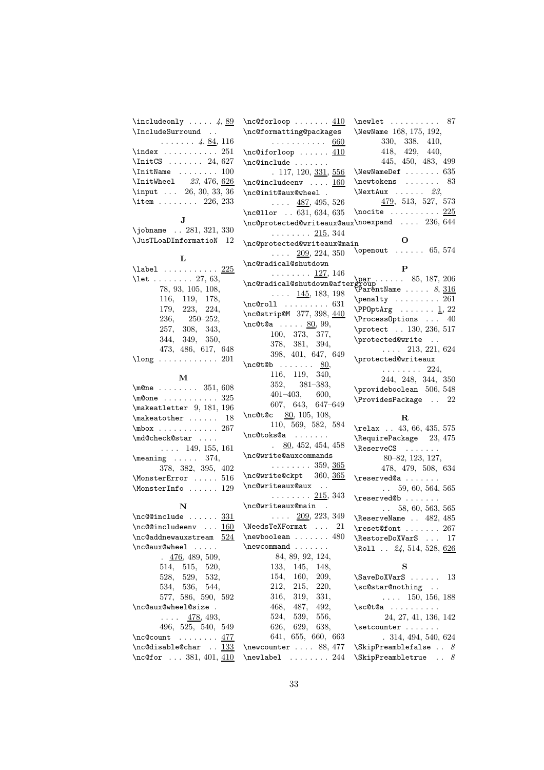| $\int \mathcal{A}$ 4, 89                                                                                         | $\neq$ $\{10\}$                                                                                                                                                                                                                                                                                                                                                                                                                                                                                                                                                                       | $\neq 87$                                                              |
|------------------------------------------------------------------------------------------------------------------|---------------------------------------------------------------------------------------------------------------------------------------------------------------------------------------------------------------------------------------------------------------------------------------------------------------------------------------------------------------------------------------------------------------------------------------------------------------------------------------------------------------------------------------------------------------------------------------|------------------------------------------------------------------------|
| \IncludeSurround                                                                                                 | \nc@formatting@packages                                                                                                                                                                                                                                                                                                                                                                                                                                                                                                                                                               | NewName 168, 175, 192,                                                 |
| $\ldots \ldots 4, \underline{84}, 116$                                                                           | . <u>660</u>                                                                                                                                                                                                                                                                                                                                                                                                                                                                                                                                                                          | 330, 338, 410,                                                         |
| $\langle$ index  251                                                                                             | $\neq$ $\{10\}$                                                                                                                                                                                                                                                                                                                                                                                                                                                                                                                                                                       | 418, 429, 440,                                                         |
| $\IntCS$ 24, 627                                                                                                 | $\nc@include$                                                                                                                                                                                                                                                                                                                                                                                                                                                                                                                                                                         | 445, 450, 483, 499                                                     |
| $\{InitName \dots \dots \ 100$                                                                                   | .117, 120, 331, 556                                                                                                                                                                                                                                                                                                                                                                                                                                                                                                                                                                   | $\text{NewNameDef}$ 635                                                |
| \InitWheel 23, 476, 626                                                                                          | $\n\cdot$ Cincludeenv $160$                                                                                                                                                                                                                                                                                                                                                                                                                                                                                                                                                           | $\neq 83$                                                              |
| \input  26, 30, 33, 36                                                                                           | \nc@init@aux@wheel .                                                                                                                                                                                                                                                                                                                                                                                                                                                                                                                                                                  | $\text{NextAux } \ldots \ldots 23,$                                    |
|                                                                                                                  |                                                                                                                                                                                                                                                                                                                                                                                                                                                                                                                                                                                       |                                                                        |
| \item $226, 233$                                                                                                 | $\ldots$ 487, 495, 526                                                                                                                                                                                                                                                                                                                                                                                                                                                                                                                                                                | $\frac{479}{513}$ , 527, 573                                           |
| J                                                                                                                | \nc@llor  631, 634, 635                                                                                                                                                                                                                                                                                                                                                                                                                                                                                                                                                               | $\text{Inocite} \dots \dots \dots \underline{225}$                     |
|                                                                                                                  | $\nc$ @protected@writeaux@aux $\nc$ noexpand  236, 644                                                                                                                                                                                                                                                                                                                                                                                                                                                                                                                                |                                                                        |
| \jobname  281, 321, 330                                                                                          | $\ldots \ldots \frac{215}{215}$ , 344                                                                                                                                                                                                                                                                                                                                                                                                                                                                                                                                                 |                                                                        |
| $\Upsilon$ JusTLoaDInformatioN 12                                                                                | \nc@protected@writeaux@main                                                                                                                                                                                                                                                                                                                                                                                                                                                                                                                                                           | O                                                                      |
|                                                                                                                  | $\ldots$ 209, 224, 350                                                                                                                                                                                                                                                                                                                                                                                                                                                                                                                                                                | $\omega$ 65, 574                                                       |
| L                                                                                                                | \nc@radical@shutdown                                                                                                                                                                                                                                                                                                                                                                                                                                                                                                                                                                  |                                                                        |
| $\lambda$ 225                                                                                                    | $\ldots \ldots \frac{127}{126}$ , 146                                                                                                                                                                                                                                                                                                                                                                                                                                                                                                                                                 | $\mathbf P$                                                            |
| \let  27, 63,                                                                                                    | $\setminus \begin{matrix} \texttt{par} & \texttt{par} & \texttt{85, 187, 206} \\ \texttt{m@radi} & \texttt{parr} & \texttt{amp} & \texttt{85, 187, 206} \end{matrix}$                                                                                                                                                                                                                                                                                                                                                                                                                 |                                                                        |
| 78, 93, 105, 108,                                                                                                | $\ldots$ $\frac{145}{13}$ , 183, 198                                                                                                                                                                                                                                                                                                                                                                                                                                                                                                                                                  | $\sqrt{\texttt{Par}}$ entName $\ldots \ldots \ \ 8,\, \underline{316}$ |
| 116, 119, 178,                                                                                                   | $\nc$ groll  631                                                                                                                                                                                                                                                                                                                                                                                                                                                                                                                                                                      | $\penalty \dots \dots 261$                                             |
| 179, 223, 224,                                                                                                   |                                                                                                                                                                                                                                                                                                                                                                                                                                                                                                                                                                                       | $\PP0ptArg \ldots \ldots \underline{1}, 22$                            |
| $236, 250 - 252,$                                                                                                | \nc@strip@M 377, 398, 440                                                                                                                                                                                                                                                                                                                                                                                                                                                                                                                                                             | $\PrecessOptions \dots 40$                                             |
| 257, 308, 343,                                                                                                   | $\begin{bmatrix} \cdot & \cdot & \cdot & \cdot & \cdot & \cdot & \cdot & \cdots & \cdot & \cdot & \cdot & \cdots & \cdot & \cdot & \cdot & \cdot & \cdots & \cdot & \cdot & \cdots & \cdot & \cdot & \cdot & \cdot & \cdots & \cdot & \cdot & \cdot & \cdots & \cdot & \cdot & \cdot & \cdot & \cdots & \cdot & \cdot & \cdot & \cdots & \cdot & \cdot & \cdot & \cdots & \cdot & \cdot & \cdot & \cdot & \cdots & \cdot & \cdot & \cdot & \cdots & \cdot & \cdot & \cdot & \cdots & \cdot & \cdot & \cdot & \cdot & \cdots & \cdot & \cdot & \cdot & \cdots & \cdot & \cdot & \cdot$ | \protect  130, 236, 517                                                |
| 344, 349, 350,                                                                                                   | 100, 373, 377,                                                                                                                                                                                                                                                                                                                                                                                                                                                                                                                                                                        | \protected@write                                                       |
| 473, 486, 617, 648                                                                                               | 378, 381, 394,                                                                                                                                                                                                                                                                                                                                                                                                                                                                                                                                                                        | $\ldots$ 213, 221, 624                                                 |
| $\lambda$ 201                                                                                                    | 398, 401, 647, 649                                                                                                                                                                                                                                                                                                                                                                                                                                                                                                                                                                    | \protected@writeaux                                                    |
|                                                                                                                  | $\nc@t@b \ldots \ldots \quad 80,$                                                                                                                                                                                                                                                                                                                                                                                                                                                                                                                                                     | $\ldots \ldots 224,$                                                   |
| М                                                                                                                | 116, 119, 340,                                                                                                                                                                                                                                                                                                                                                                                                                                                                                                                                                                        | 244, 248, 344, 350                                                     |
| $\{\text{m@ne } \ldots \ldots \quad 351,608\}$                                                                   | 352, 381-383,                                                                                                                                                                                                                                                                                                                                                                                                                                                                                                                                                                         | \provideboolean 506, 548                                               |
| $\text{One} \dots \dots \dots 325$                                                                               | $401-403, 600,$                                                                                                                                                                                                                                                                                                                                                                                                                                                                                                                                                                       |                                                                        |
|                                                                                                                  | 607, 643, 647-649                                                                                                                                                                                                                                                                                                                                                                                                                                                                                                                                                                     | \ProvidesPackage  22                                                   |
| $\mathcal{L}$ akeatletter $9, 181, 196$                                                                          | \nc@t@c 80, 105, 108,                                                                                                                                                                                                                                                                                                                                                                                                                                                                                                                                                                 |                                                                        |
| $\mathcal{S}$ 18                                                                                                 | 110, 569, 582, 584                                                                                                                                                                                                                                                                                                                                                                                                                                                                                                                                                                    | $\mathbf R$                                                            |
| $\mbox{mbox} \ldots \ldots \ldots 267$                                                                           | $\nc@toks@a \ldots \ldots$                                                                                                                                                                                                                                                                                                                                                                                                                                                                                                                                                            | \relax . 43, 66, 435, 575                                              |
| \md@check@star                                                                                                   | $\frac{80}{452}$ , 452, 454, 458                                                                                                                                                                                                                                                                                                                                                                                                                                                                                                                                                      | \RequirePackage 23, 475                                                |
| $\ldots$ 149, 155, 161                                                                                           |                                                                                                                                                                                                                                                                                                                                                                                                                                                                                                                                                                                       | $\text{ReserveCS}$                                                     |
| $\text{Meaning} \dots 374,$                                                                                      | \nc@write@auxcommands                                                                                                                                                                                                                                                                                                                                                                                                                                                                                                                                                                 | 80-82, 123, 127,                                                       |
| 378, 382, 395, 402                                                                                               | $\ldots \ldots 359, \underline{365}$                                                                                                                                                                                                                                                                                                                                                                                                                                                                                                                                                  | 478, 479, 508, 634                                                     |
| $\M$ onsterError  516                                                                                            | \nc@write@ckpt 360, 365                                                                                                                                                                                                                                                                                                                                                                                                                                                                                                                                                               | $\texttt{reserved@a   .}$                                              |
| $\M$ onsterInfo  129                                                                                             | \nc@writeaux@aux                                                                                                                                                                                                                                                                                                                                                                                                                                                                                                                                                                      | $\ldots$ 59, 60, 564, 565                                              |
|                                                                                                                  | . <u>215</u> , 343                                                                                                                                                                                                                                                                                                                                                                                                                                                                                                                                                                    | \reserved@b                                                            |
| N                                                                                                                | \nc@writeaux@main                                                                                                                                                                                                                                                                                                                                                                                                                                                                                                                                                                     | $\ldots$ 58, 60, 563, 565                                              |
| $\nc@include   331$                                                                                              | $\ldots$ 209, 223, 349                                                                                                                                                                                                                                                                                                                                                                                                                                                                                                                                                                | \ReserveName  482, 485                                                 |
|                                                                                                                  | $\n\nc@dincludeeny \n 160 \NeedsTeXFormat  21$                                                                                                                                                                                                                                                                                                                                                                                                                                                                                                                                        | $\verb+\reset@font  \ldots 267$                                        |
| $\n\cdot$ Caddnewauxstream $524$                                                                                 | $\neq 480$                                                                                                                                                                                                                                                                                                                                                                                                                                                                                                                                                                            | \RestoreDoXVarS  17                                                    |
| \nc@aux@wheel                                                                                                    | $\neq$                                                                                                                                                                                                                                                                                                                                                                                                                                                                                                                                                                                | \Roll  24, 514, 528, 626                                               |
| $\frac{476}{450}$ , 489, 509,                                                                                    | 84, 89, 92, 124,                                                                                                                                                                                                                                                                                                                                                                                                                                                                                                                                                                      |                                                                        |
| 514, 515, 520,                                                                                                   | 133, 145, 148,                                                                                                                                                                                                                                                                                                                                                                                                                                                                                                                                                                        | S                                                                      |
| 528, 529, 532,                                                                                                   | 154, 160,<br>209,                                                                                                                                                                                                                                                                                                                                                                                                                                                                                                                                                                     | $\SaveDoXVarS$ 13                                                      |
| 534, 536, 544,                                                                                                   | 215,<br>212,<br>220,                                                                                                                                                                                                                                                                                                                                                                                                                                                                                                                                                                  | \sc@star@nothing                                                       |
|                                                                                                                  |                                                                                                                                                                                                                                                                                                                                                                                                                                                                                                                                                                                       |                                                                        |
| 577, 586, 590, 592                                                                                               | 316,<br>319,<br>331,                                                                                                                                                                                                                                                                                                                                                                                                                                                                                                                                                                  | $\ldots$ 150, 156, 188                                                 |
| \nc@aux@wheel@size .                                                                                             | 468,<br>487,<br>492,                                                                                                                                                                                                                                                                                                                                                                                                                                                                                                                                                                  | $\succeq$                                                              |
| $\ldots$ 478, 493,                                                                                               | 524, 539, 556,                                                                                                                                                                                                                                                                                                                                                                                                                                                                                                                                                                        | 24, 27, 41, 136, 142                                                   |
| 496, 525, 540, 549                                                                                               | 626, 629, 638,                                                                                                                                                                                                                                                                                                                                                                                                                                                                                                                                                                        | $\setminus$ setcounter                                                 |
| $\begin{bmatrix} \cdot & \cdot & \cdot & \cdot & \cdot & \cdot & \cdots & \cdot & \frac{477}{477} \end{bmatrix}$ | 641, 655, 660, 663                                                                                                                                                                                                                                                                                                                                                                                                                                                                                                                                                                    | .314, 494, 540, 624                                                    |
| \nc@disable@char  133                                                                                            | \newcounter  88, 477                                                                                                                                                                                                                                                                                                                                                                                                                                                                                                                                                                  | $\Skip$                                                                |
| $\nc@for  381, 401, 410$                                                                                         | $\neq$ label  244                                                                                                                                                                                                                                                                                                                                                                                                                                                                                                                                                                     | $\exists$ SkipPreambletrue $\delta$                                    |
|                                                                                                                  |                                                                                                                                                                                                                                                                                                                                                                                                                                                                                                                                                                                       |                                                                        |